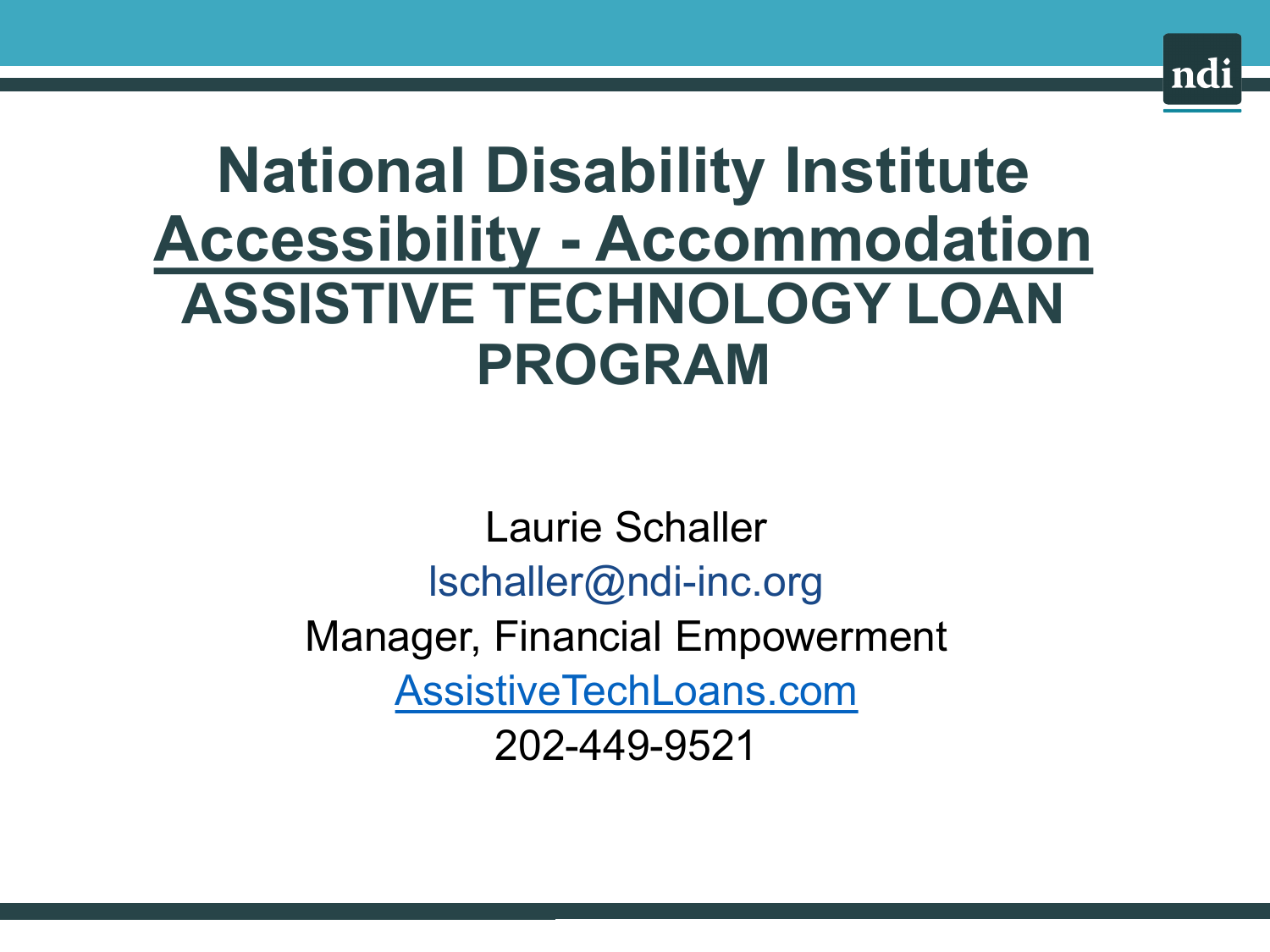

# **National Disability Institute Accessibility - Accommodation ASSISTIVE TECHNOLOGY LOAN PROGRAM**

Laurie Schaller [lschaller@ndi-inc.org](mailto:lschaller@ndi-inc.org) Manager, Financial Empowerment [AssistiveTechLoans.com](http://assistivetechloans.com/) 202-449-9521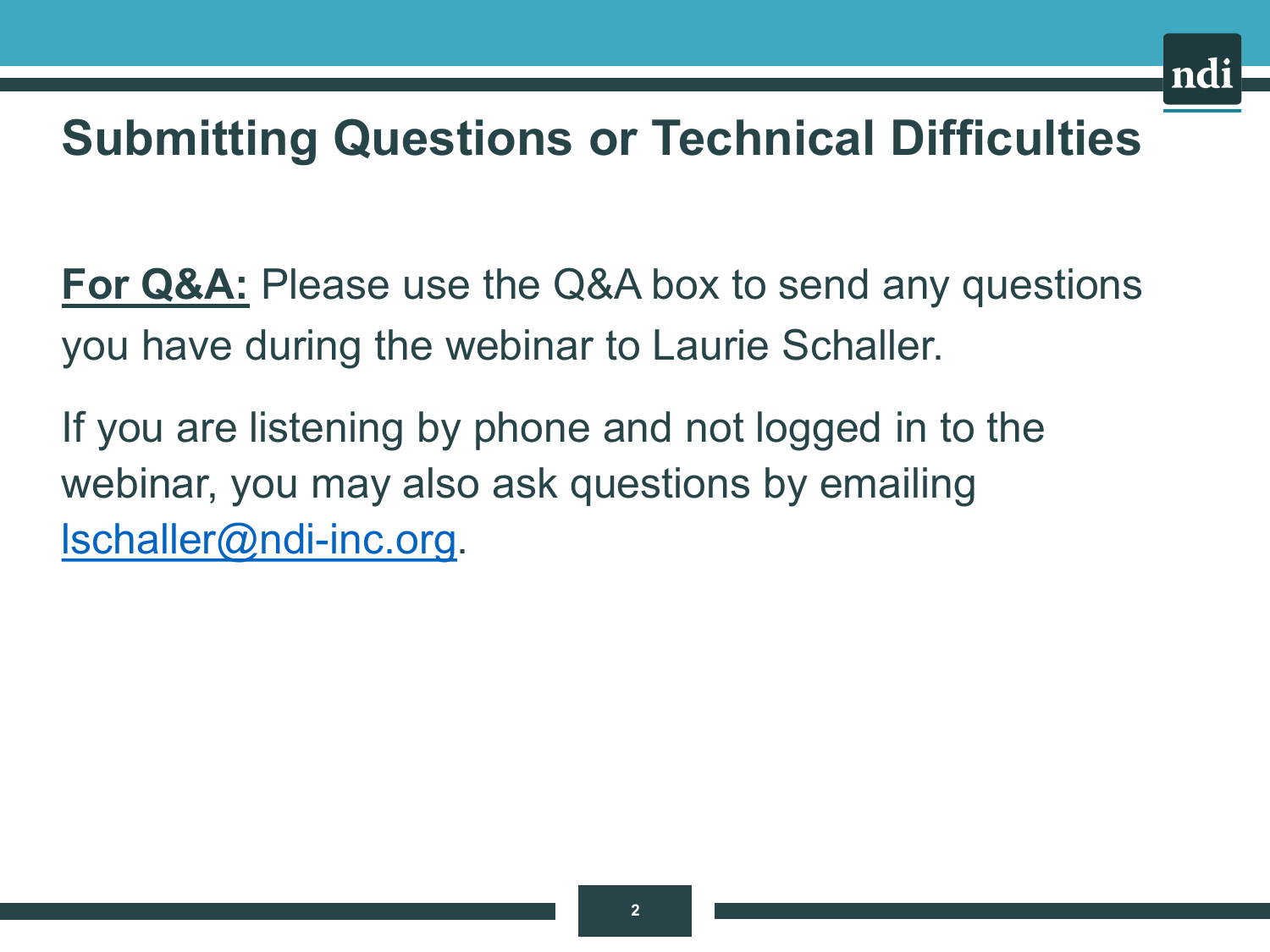

### **Submitting Questions or Technical Difficulties**

**For Q&A:** Please use the Q&A box to send any questions you have during the webinar to Laurie Schaller.

If you are listening by phone and not logged in to the webinar, you may also ask questions by emailing [lschaller@ndi-inc.org](mailto:lschaller@ndi-inc.org).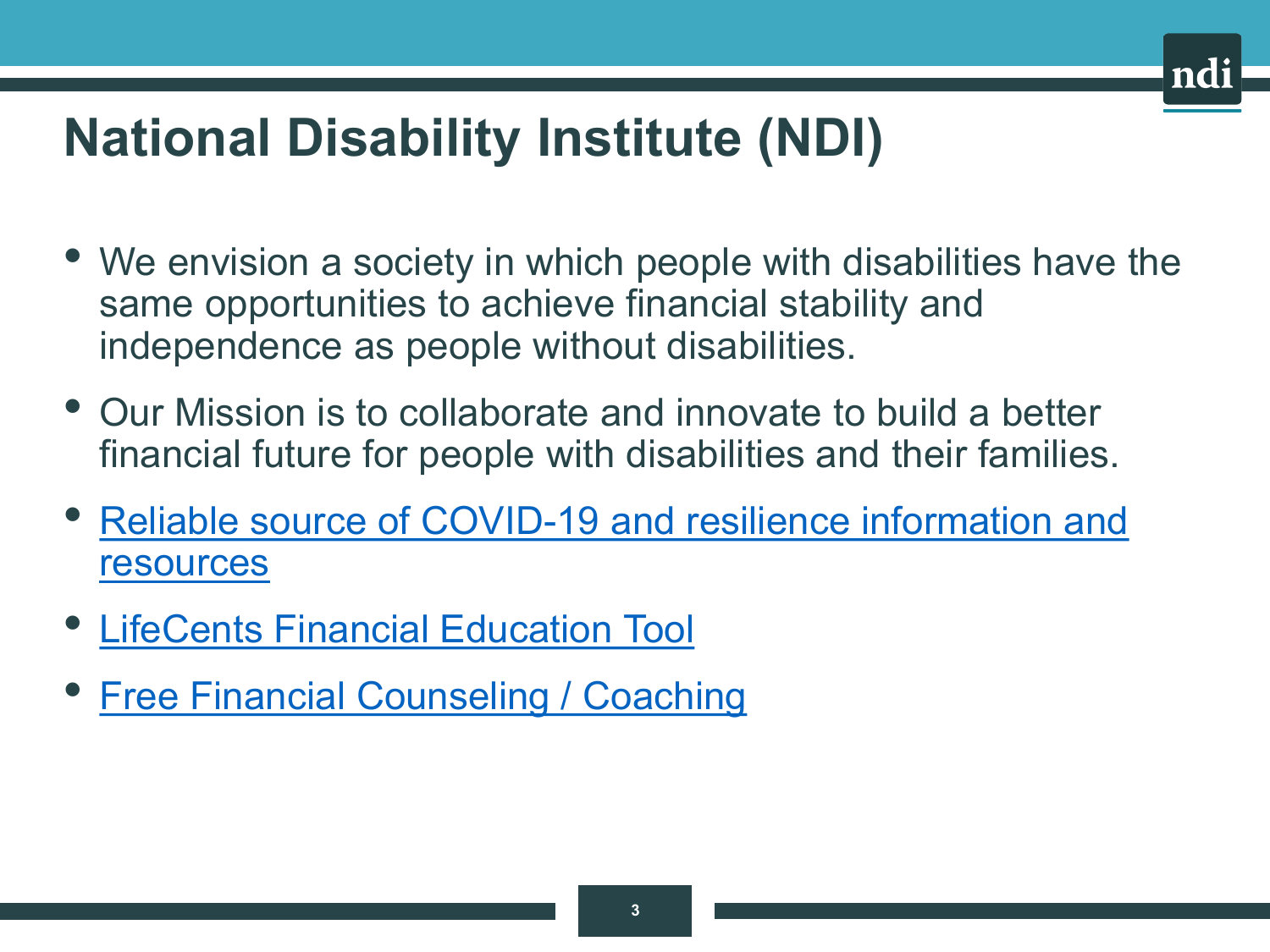# **National Disability Institute (NDI)**

- We envision a society in which people with disabilities have the same opportunities to achieve financial stability and independence as people without disabilities.
- Our Mission is to collaborate and innovate to build a better financial future for people with disabilities and their families.
- [Reliable source of COVID-19 and resilience information and](https://www.nationaldisabilityinstitute.org/financial-resilience-center/)  resources
- [LifeCents Financial Education Tool](https://www.nationaldisabilityinstitute.org/financial-resilience-center/take-action/#lifecents)
- [Free Financial Counseling / Coaching](https://www.nationaldisabilityinstitute.org/financial-resilience-center/take-action/#afcpe)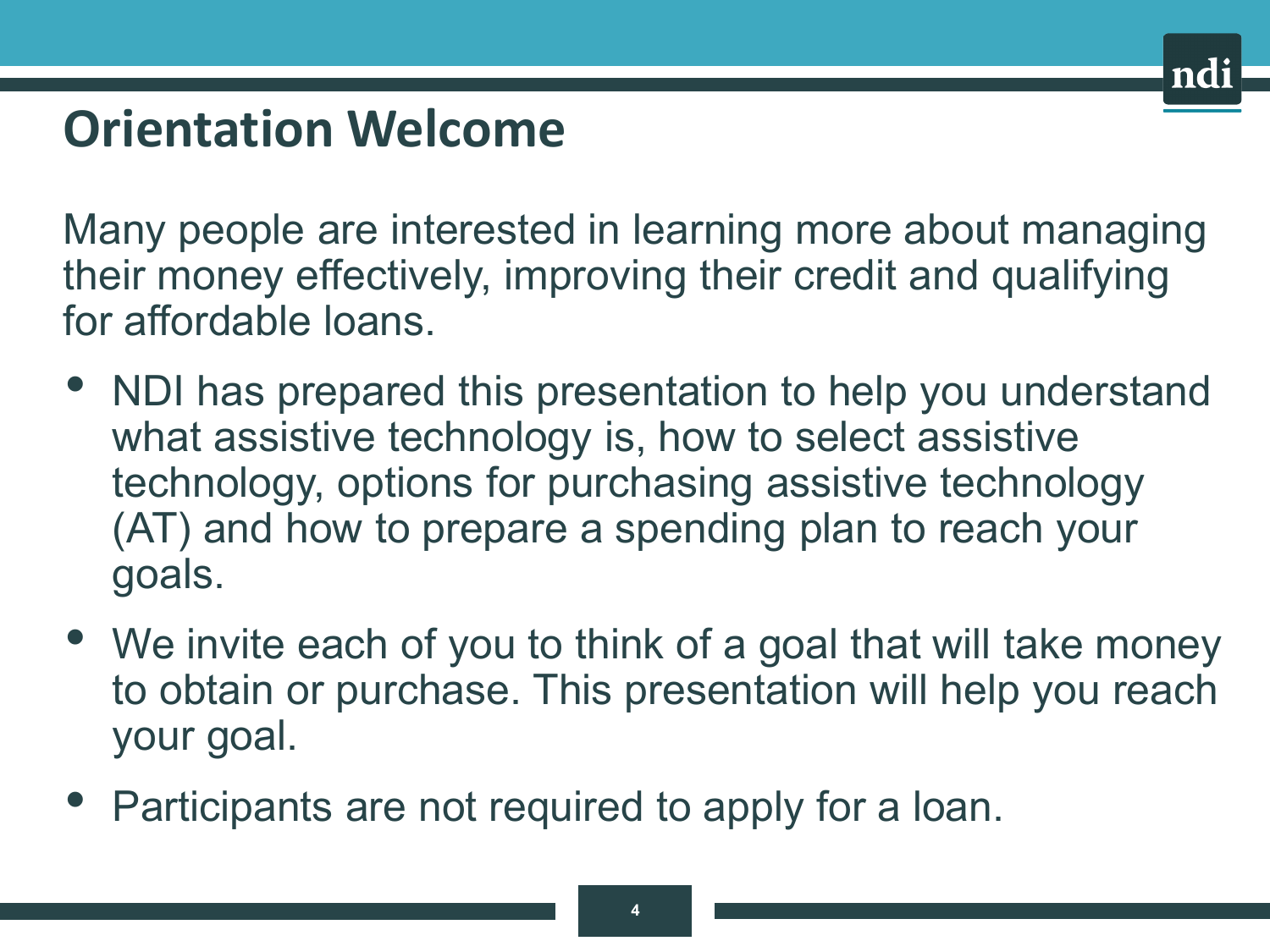### **Orientation Welcome**

Many people are interested in learning more about managing their money effectively, improving their credit and qualifying for affordable loans.

- NDI has prepared this presentation to help you understand what assistive technology is, how to select assistive technology, options for purchasing assistive technology (AT) and how to prepare a spending plan to reach your goals.
- We invite each of you to think of a goal that will take money to obtain or purchase. This presentation will help you reach your goal.
- Participants are not required to apply for a loan.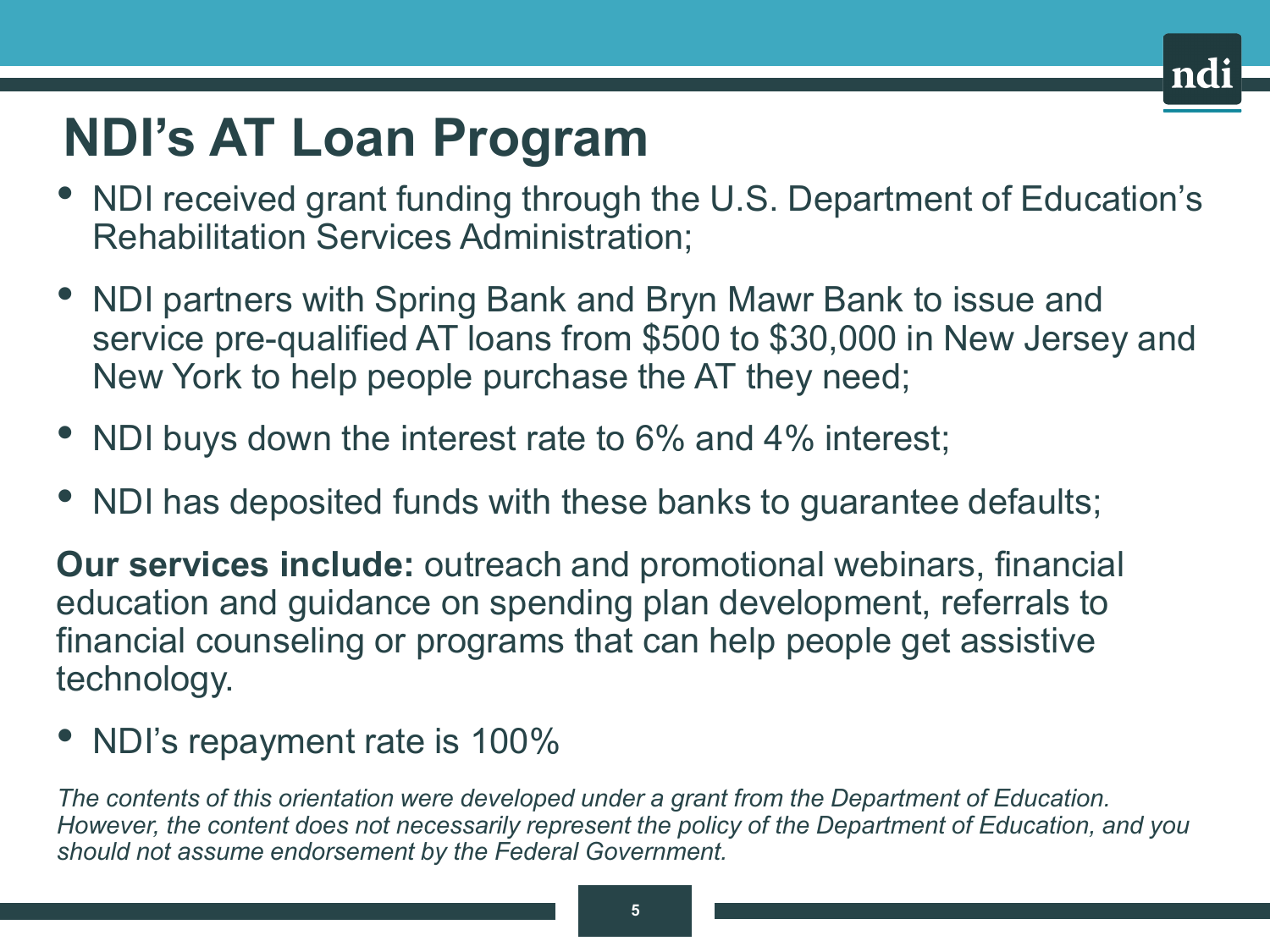### **NDI's AT Loan Program**

- NDI received grant funding through the U.S. Department of Education's Rehabilitation Services Administration;
- NDI partners with Spring Bank and Bryn Mawr Bank to issue and service pre-qualified AT loans from \$500 to \$30,000 in New Jersey and New York to help people purchase the AT they need;
- NDI buys down the interest rate to 6% and 4% interest;
- NDI has deposited funds with these banks to guarantee defaults;

**Our services include:** outreach and promotional webinars, financial education and guidance on spending plan development, referrals to financial counseling or programs that can help people get assistive technology.

• NDI's repayment rate is 100%

*The contents of this orientation were developed under a grant from the Department of Education. However, the content does not necessarily represent the policy of the Department of Education, and you should not assume endorsement by the Federal Government.*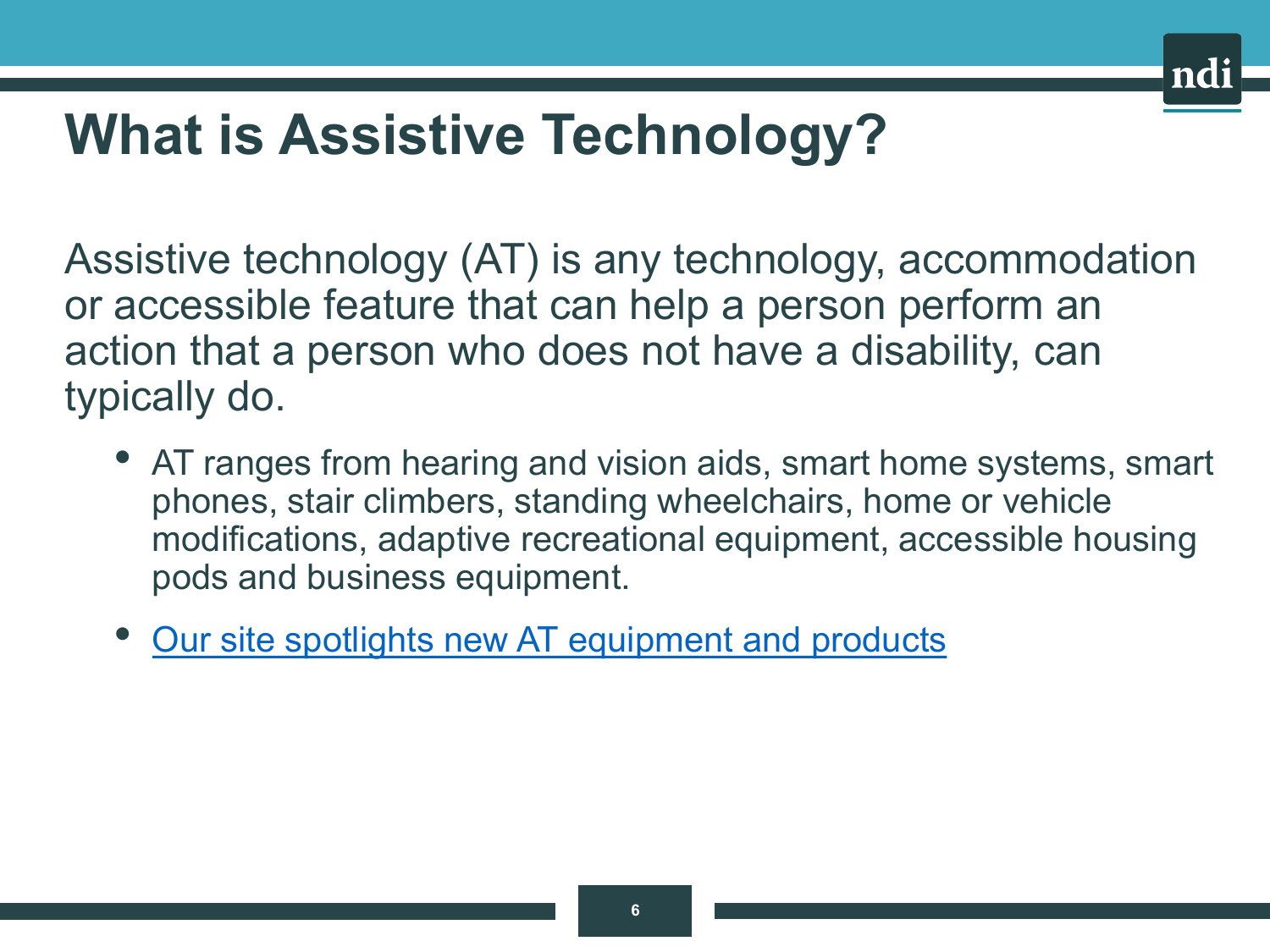# **What is Assistive Technology?**

Assistive technology (AT) is any technology, accommodation or accessible feature that can help a person perform an action that a person who does not have a disability, can typically do.

- AT ranges from hearing and vision aids, smart home systems, smart phones, stair climbers, standing wheelchairs, home or vehicle modifications, adaptive recreational equipment, accessible housing pods and business equipment.
- [Our site spotlights new AT equipment and products](https://www.nationaldisabilityinstitute.org/financial-wellness/assistive-technology-loan-program/)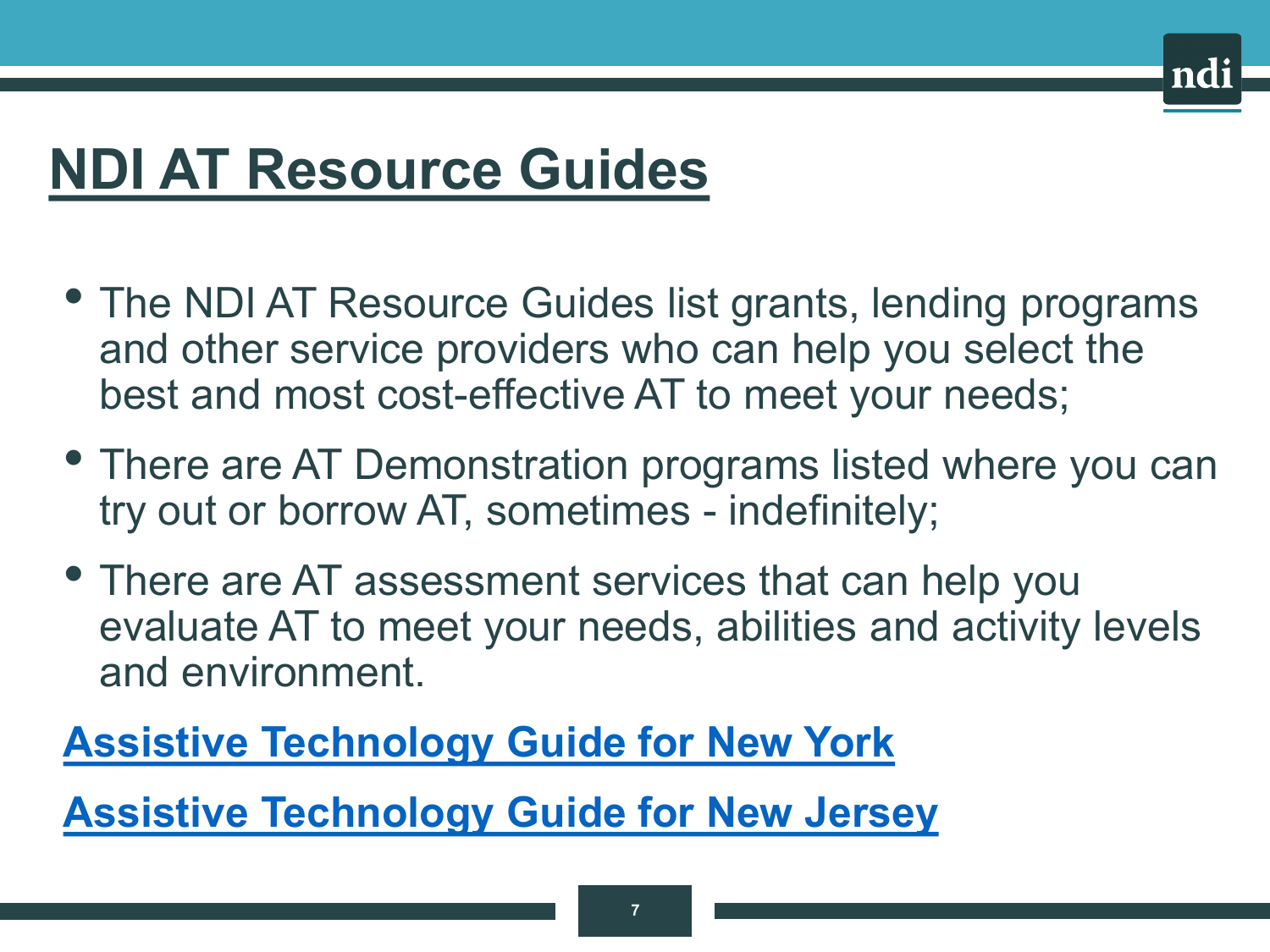# **NDI AT Resource Guides**

- The NDI AT Resource Guides list grants, lending programs and other service providers who can help you select the best and most cost-effective AT to meet your needs;
- There are AT Demonstration programs listed where you can try out or borrow AT, sometimes - indefinitely;
- There are AT assessment services that can help you evaluate AT to meet your needs, abilities and activity levels and environment.

#### **[Assistive Technology Guide for New York](https://www.nationaldisabilityinstitute.org/at-loan-guide-ny/)**

**[Assistive Technology Guide for New Jersey](https://www.nationaldisabilityinstitute.org/at-loan-guide-nj/)**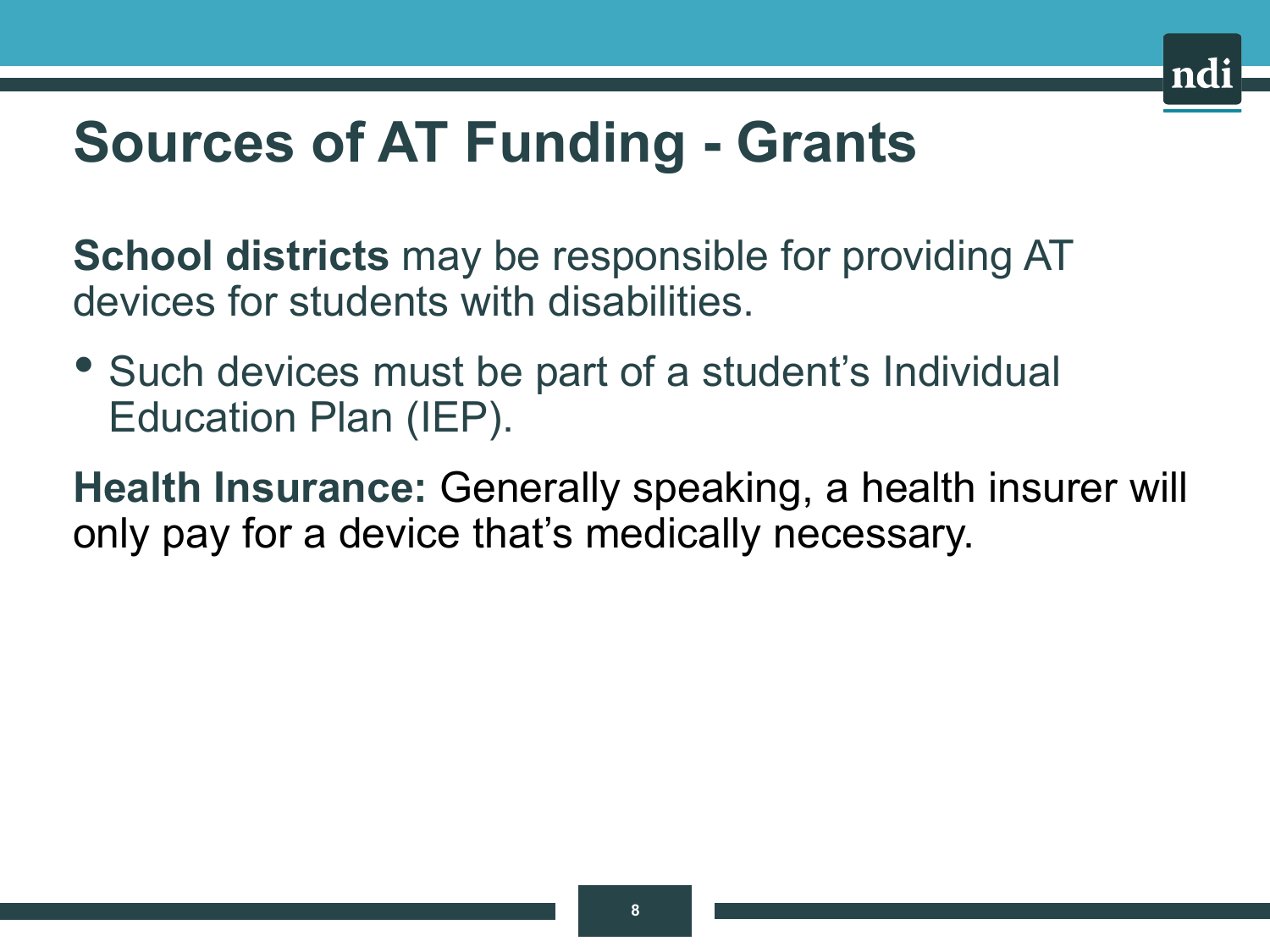

# **Sources of AT Funding - Grants**

**School districts** may be responsible for providing AT devices for students with disabilities.

• Such devices must be part of a student's Individual Education Plan (IEP).

**Health Insurance:** Generally speaking, a health insurer will only pay for a device that's medically necessary.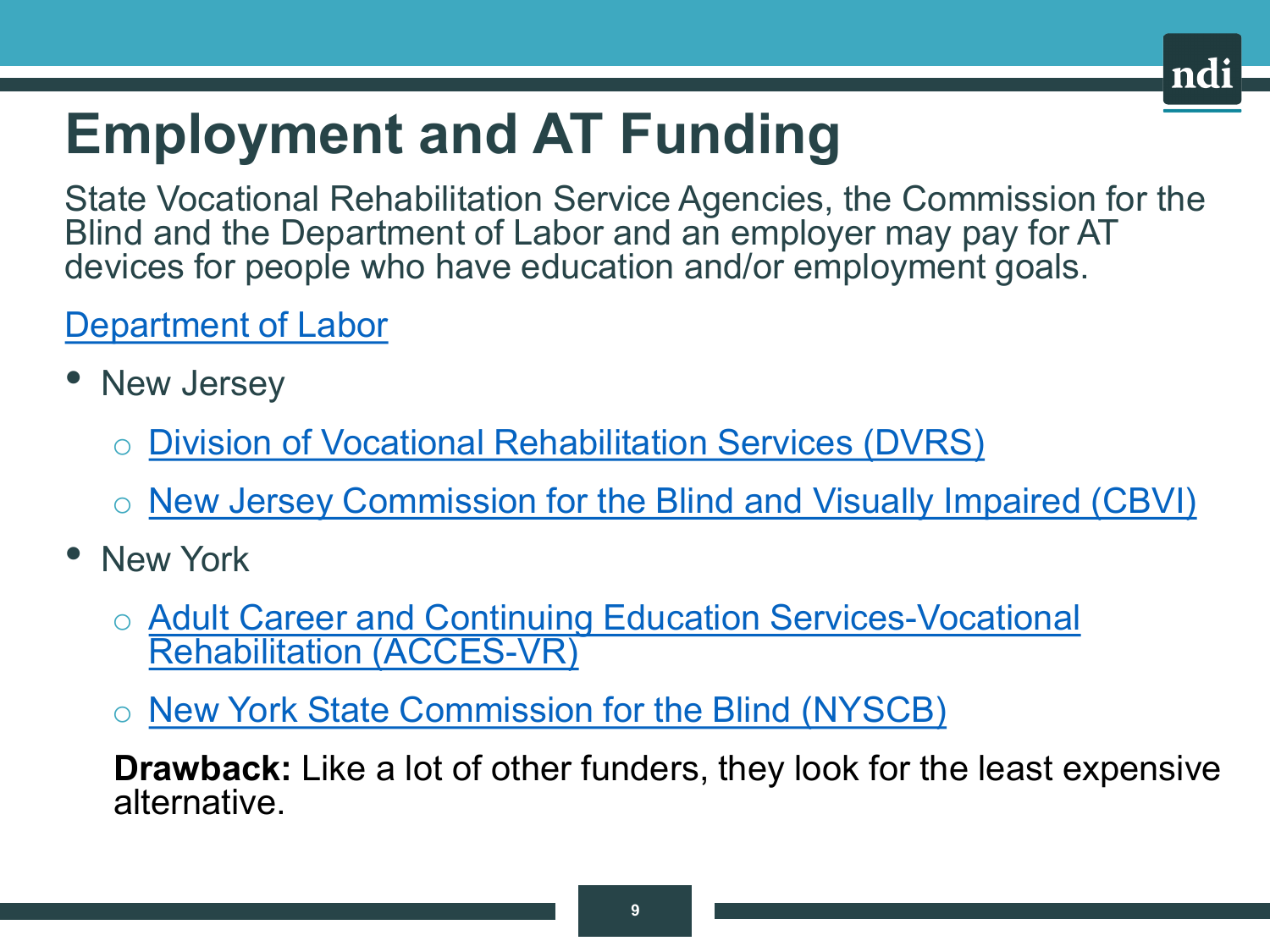

# **Employment and AT Funding**

State Vocational Rehabilitation Service Agencies, the Commission for the Blind and the Department of Labor and an employer may pay for AT devices for people who have education and/or employment goals.

#### [Department of Labor](https://www.careeronestop.org/LocalHelp/AmericanJobCenters/american-job-centers.aspx)

- New Jersey
	- [Division of Vocational Rehabilitation Services \(DVRS\)](https://www.nj.gov/labor/career-services/special-services/individuals-with-disabilities/)
	- o [New Jersey Commission for the Blind and Visually Impaired \(CBVI\)](https://www.state.nj.us/humanservices/cbvi/)
- New York
	- o [Adult Career and Continuing Education Services-Vocational](http://www.acces.nysed.gov/vr)  Rehabilitation (ACCES-VR)
	- o [New York State Commission for the Blind \(NYSCB\)](https://ocfs.ny.gov/programs/nyscb/)

**Drawback:** Like a lot of other funders, they look for the least expensive alternative.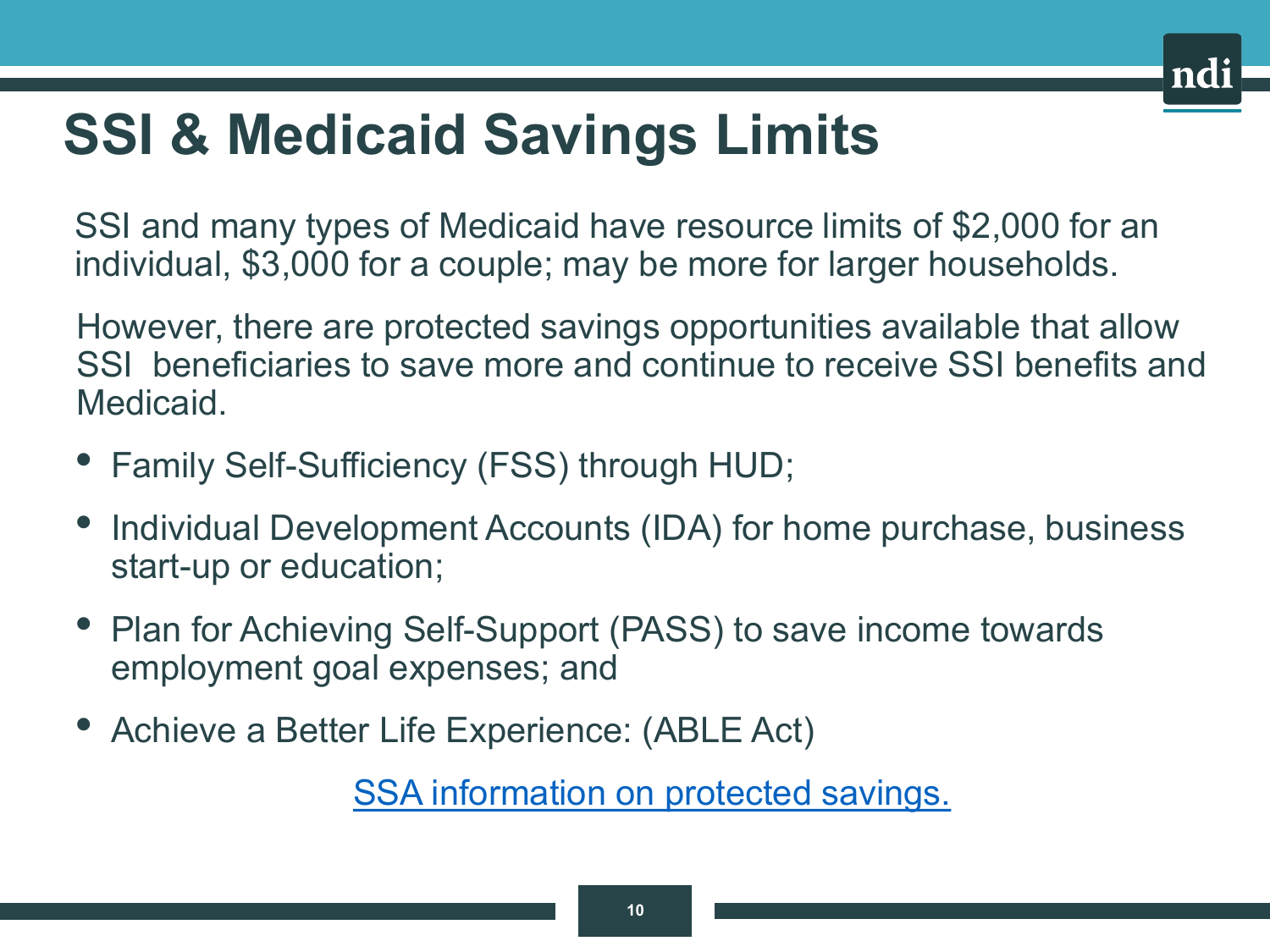

# **SSI & Medicaid Savings Limits**

SSI and many types of Medicaid have resource limits of \$2,000 for an individual, \$3,000 for a couple; may be more for larger households.

However, there are protected savings opportunities available that allow SSI beneficiaries to save more and continue to receive SSI benefits and Medicaid.

- Family Self-Sufficiency (FSS) through HUD;
- Individual Development Accounts (IDA) for home purchase, business start-up or education;
- Plan for Achieving Self-Support (PASS) to save income towards employment goal expenses; and
- Achieve a Better Life Experience: (ABLE Act)

[SSA information on protected savings.](http://www.socialsecurity.gov/ssi/text-resources-ussi.htm)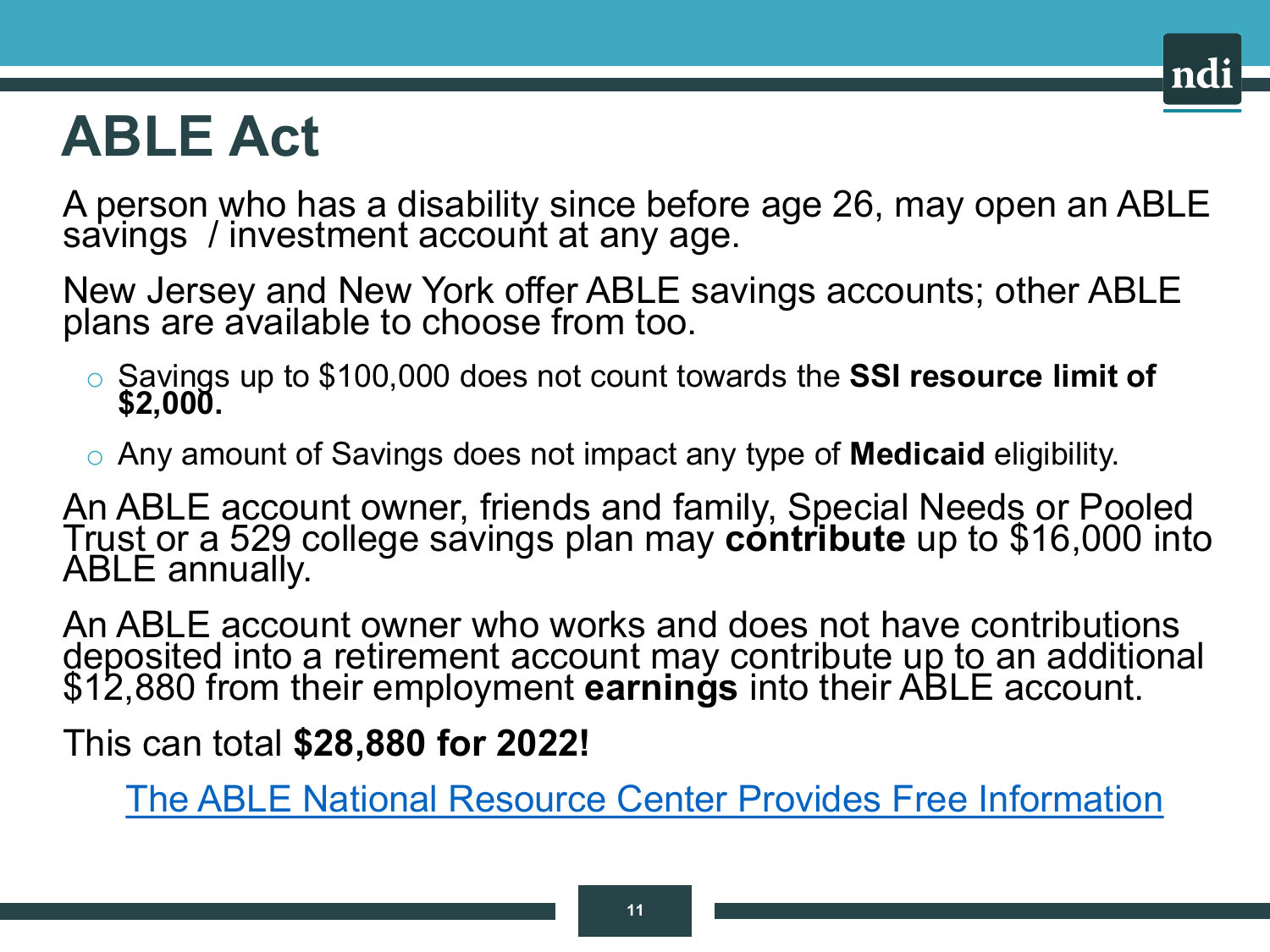### **ABLE Act**

A person who has a disability since before age 26, may open an ABLE savings /investment accouńt at any age.

New Jersey and New York offer ABLE savings accounts; other ABLE plans are available to choose from too.

- o Savings up to \$100,000 does not count towards the **SSI resource limit of \$2,000.**
- o Any amount of Savings does not impact any type of **Medicaid** eligibility.

An ABLE account owner, friends and family, Special Needs or Pooled Trust or a 529 college savings plan may **contribute** up to \$16,000 into<br>ABLE annually.

An ABLE account owner who works and does not have contributions deposited into a retirement account may contribute up to an additional \$12,880 from their employment **earnings** into their ABLE account.

This can total **\$28,880 for 2022!**

[The ABLE National Resource Center Provides Free Information](https://www.ablenrc.org/)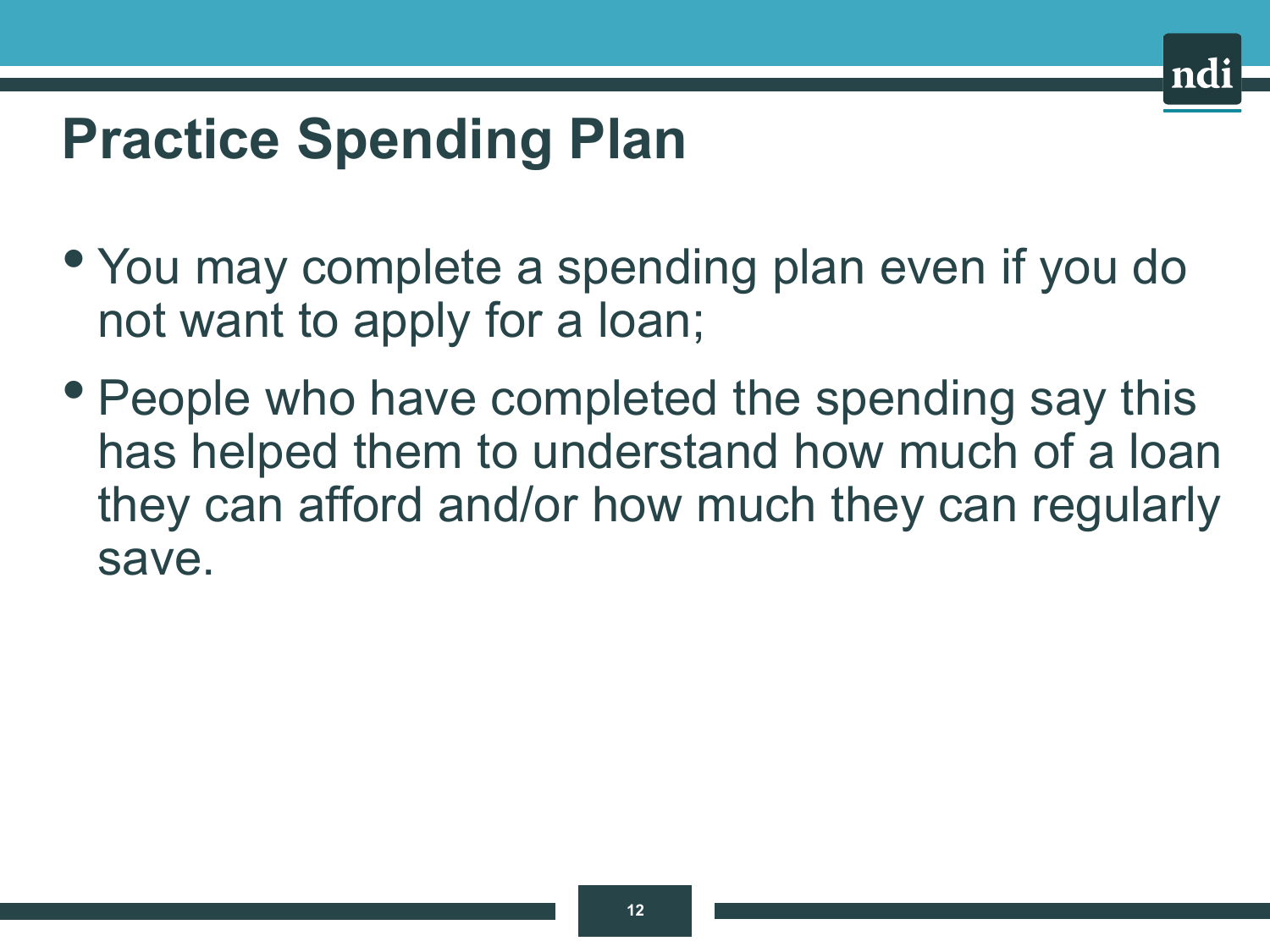# **Practice Spending Plan**

- You may complete a spending plan even if you do not want to apply for a loan;
- People who have completed the spending say this has helped them to understand how much of a loan they can afford and/or how much they can regularly save.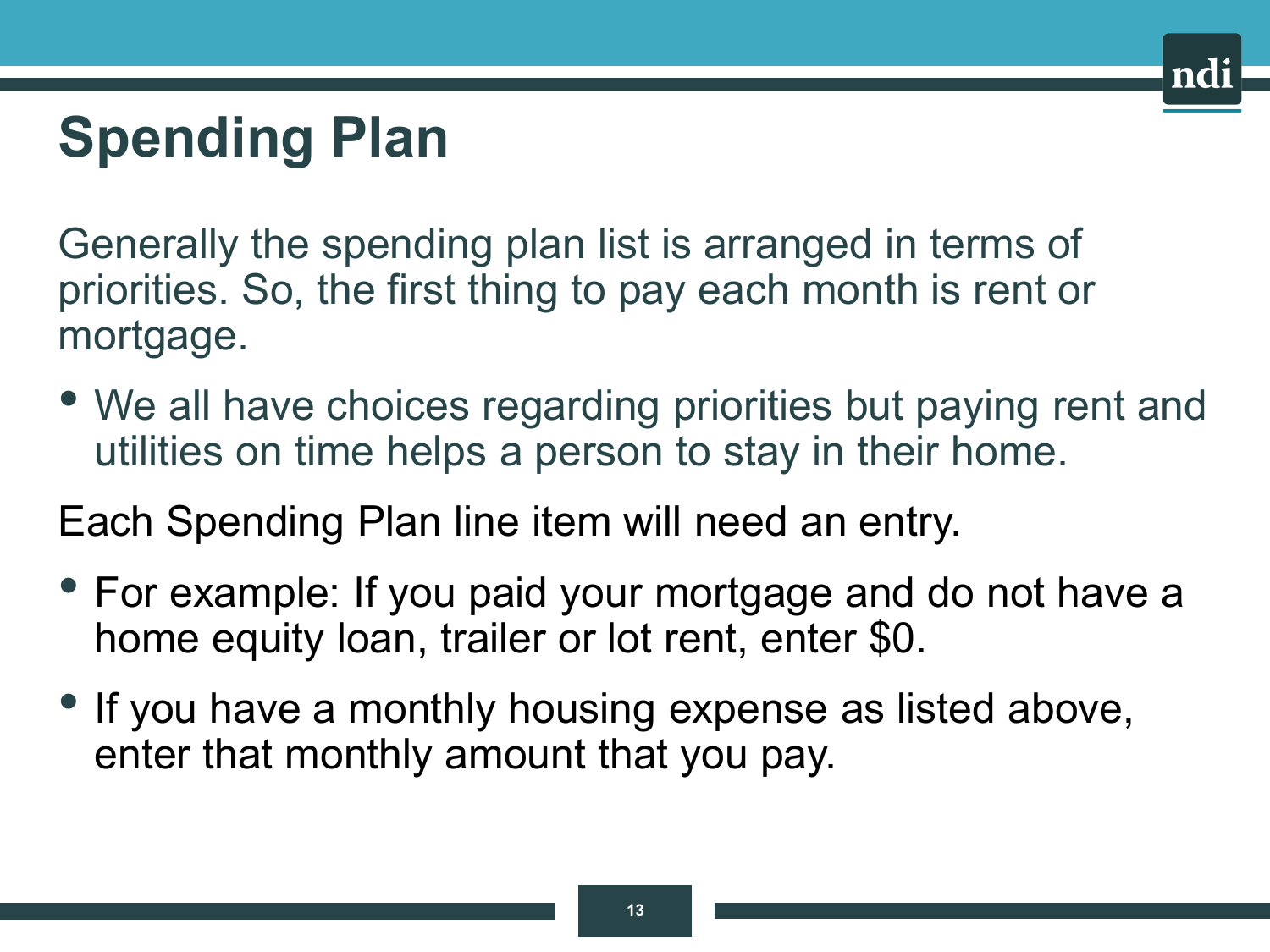# **Spending Plan**

Generally the spending plan list is arranged in terms of priorities. So, the first thing to pay each month is rent or mortgage.

• We all have choices regarding priorities but paying rent and utilities on time helps a person to stay in their home.

Each Spending Plan line item will need an entry.

- For example: If you paid your mortgage and do not have a home equity loan, trailer or lot rent, enter \$0.
- If you have a monthly housing expense as listed above, enter that monthly amount that you pay.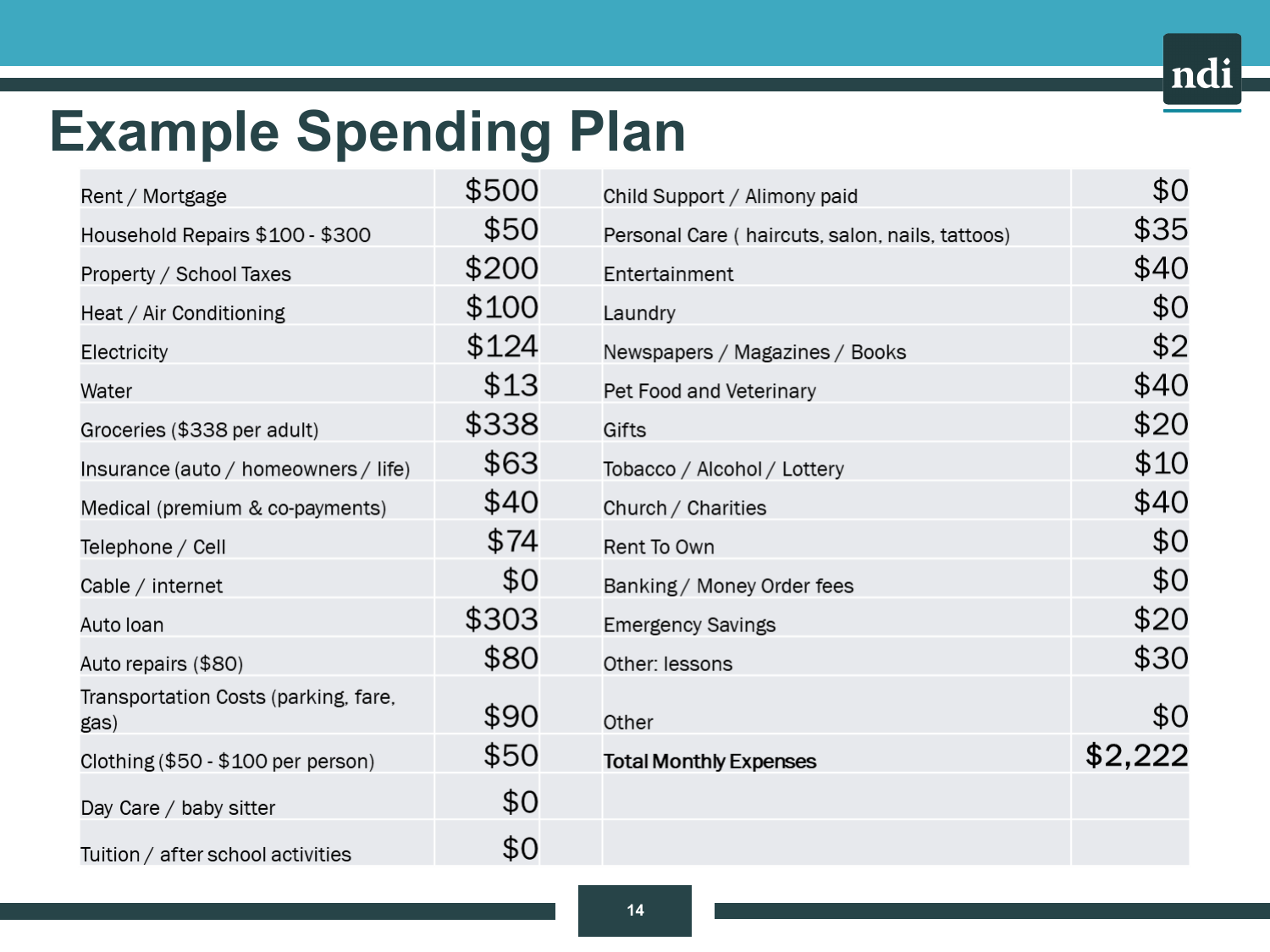# **Example Spending Plan**

| Rent / Mortgage                              | \$500 | Child Support / Alimony paid                    | \$0     |
|----------------------------------------------|-------|-------------------------------------------------|---------|
| Household Repairs \$100 - \$300              | \$50  | Personal Care (haircuts, salon, nails, tattoos) | \$35    |
| Property / School Taxes                      | \$200 | Entertainment                                   | \$40    |
| Heat / Air Conditioning                      | \$100 | Laundry                                         | \$0     |
| Electricity                                  | \$124 | Newspapers / Magazines / Books                  | \$2     |
| Water                                        | \$13  | Pet Food and Veterinary                         | \$40    |
| Groceries (\$338 per adult)                  | \$338 | Gifts                                           | \$20    |
| Insurance (auto / homeowners / life)         | \$63  | Tobacco / Alcohol / Lottery                     | \$10    |
| Medical (premium & co-payments)              | \$40  | Church / Charities                              | \$40    |
| Telephone / Cell                             | \$74  | Rent To Own                                     | \$0     |
| Cable / internet                             | \$0   | Banking / Money Order fees                      | \$0     |
| Auto Ioan                                    | \$303 | <b>Emergency Savings</b>                        | \$20    |
| Auto repairs (\$80)                          | \$80  | Other: lessons                                  | \$30    |
| Transportation Costs (parking, fare,<br>gas) | \$90  | Other                                           | \$0     |
| Clothing (\$50 - \$100 per person)           | \$50  | <b>Total Monthly Expenses</b>                   | \$2,222 |
| Day Care / baby sitter                       | \$0   |                                                 |         |
| Tuition / after school activities            | \$0   |                                                 |         |

ndi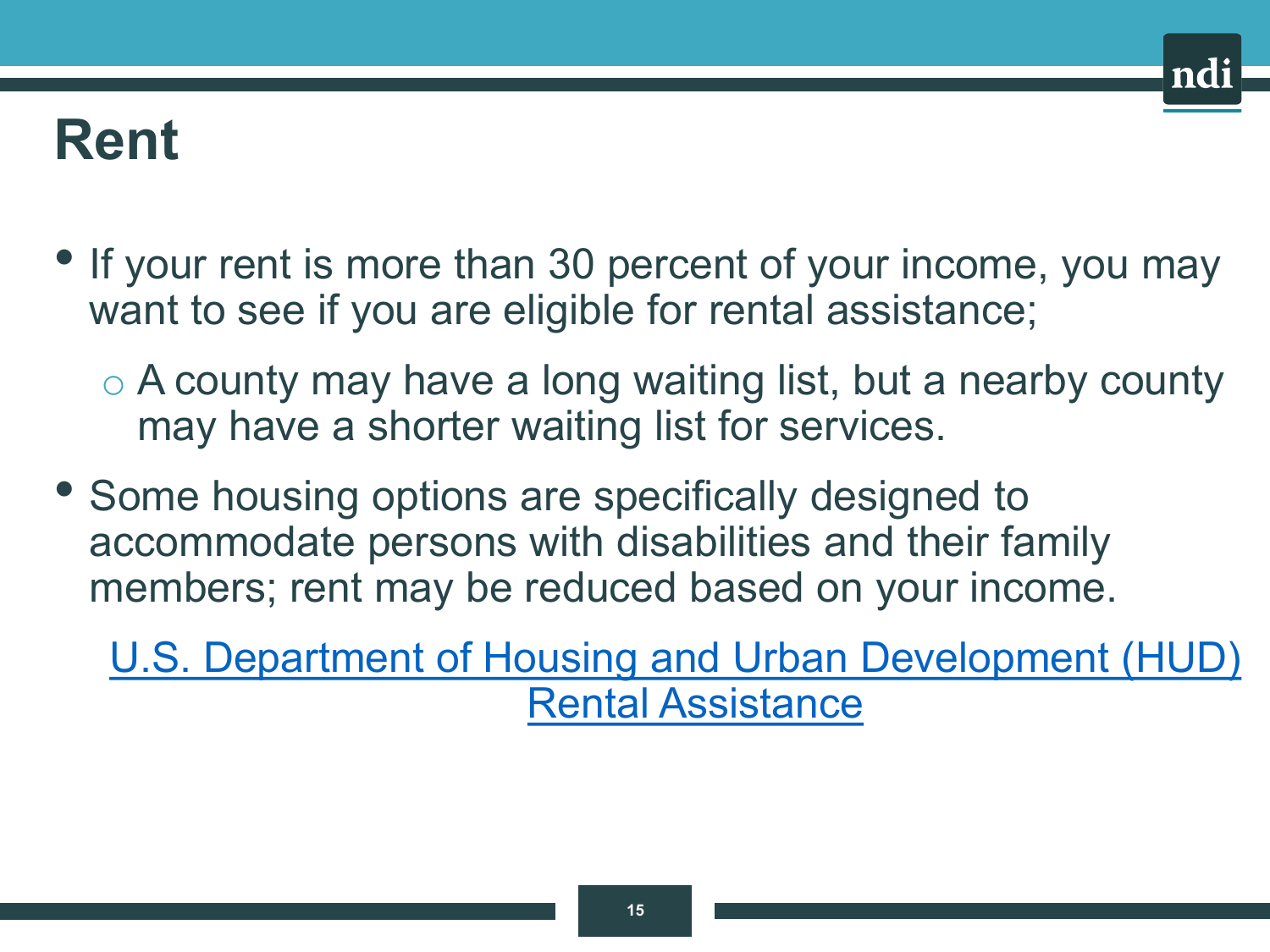### **Rent**

- If your rent is more than 30 percent of your income, you may want to see if you are eligible for rental assistance;
	- o A county may have a long waiting list, but a nearby county may have a shorter waiting list for services.
- Some housing options are specifically designed to accommodate persons with disabilities and their family members; rent may be reduced based on your income.

[U.S. Department of Housing and Urban Development \(HUD\)](https://www.hud.gov/topics/rental_assistance)  Rental Assistance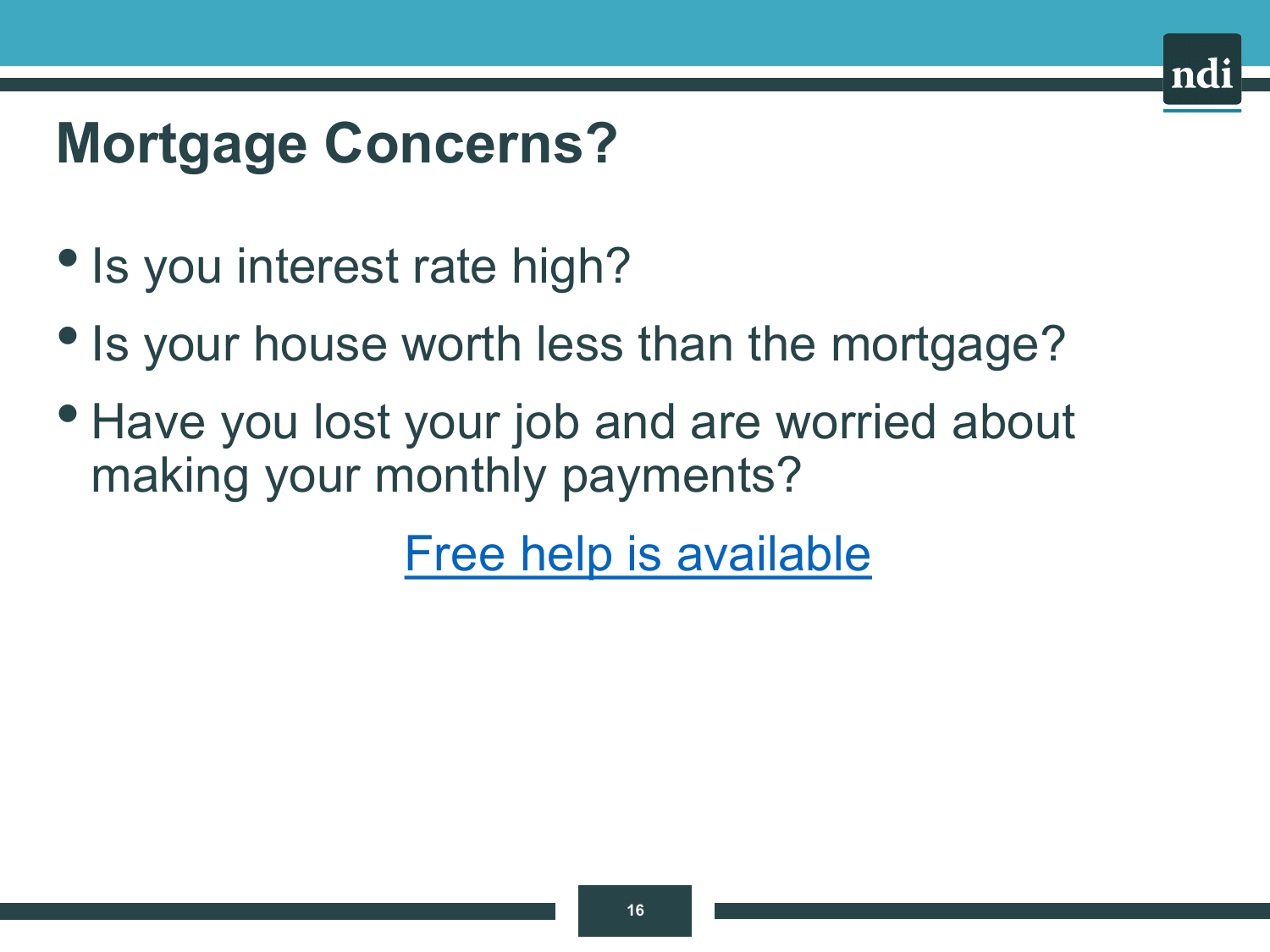# **Mortgage Concerns?**

- Is you interest rate high?
- Is your house worth less than the mortgage?
- Have you lost your job and are worried about making your monthly payments?

[Free help is available](https://www.hud.gov/topics/avoiding_foreclosure)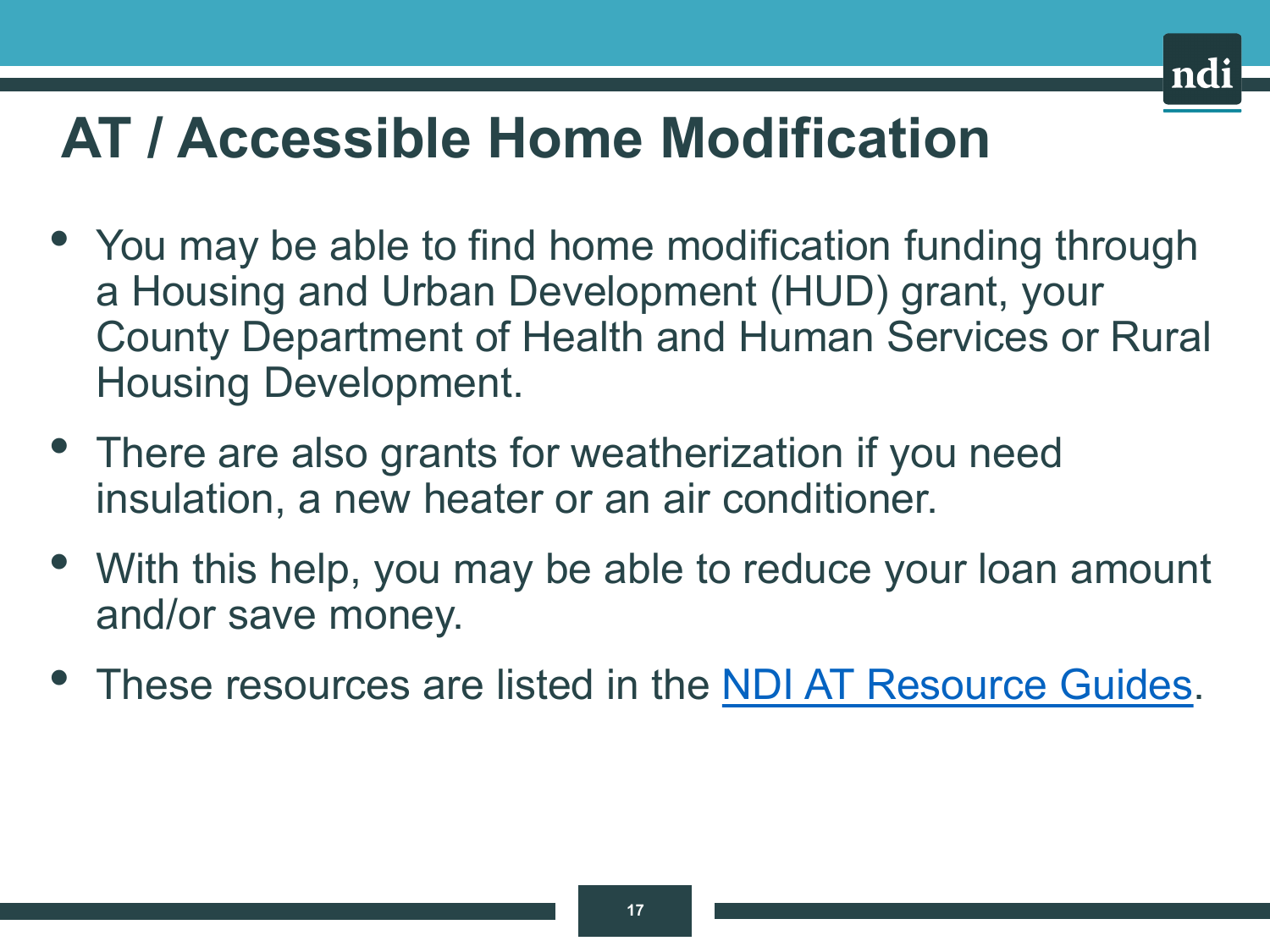### **AT / Accessible Home Modification**

- You may be able to find home modification funding through a Housing and Urban Development (HUD) grant, your County Department of Health and Human Services or Rural Housing Development.
- There are also grants for weatherization if you need insulation, a new heater or an air conditioner.
- With this help, you may be able to reduce your loan amount and/or save money.
- These resources are listed in the [NDI AT Resource Guides.](https://www.nationaldisabilityinstitute.org/financial-wellness/assistive-technology-loan-program/)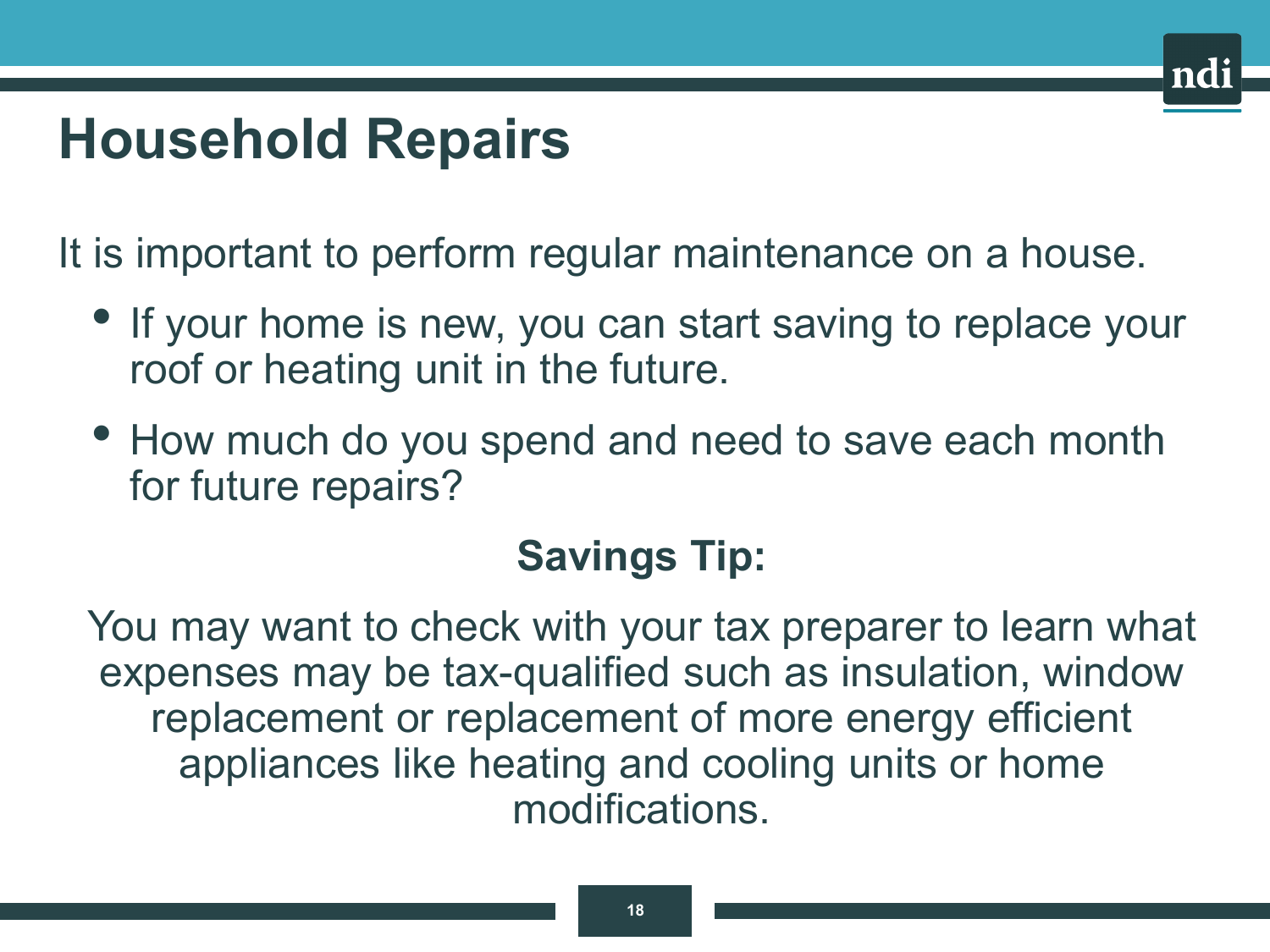# **Household Repairs**

It is important to perform regular maintenance on a house.

- If your home is new, you can start saving to replace your roof or heating unit in the future.
- How much do you spend and need to save each month for future repairs?

#### **Savings Tip:**

You may want to check with your tax preparer to learn what expenses may be tax-qualified such as insulation, window replacement or replacement of more energy efficient appliances like heating and cooling units or home modifications.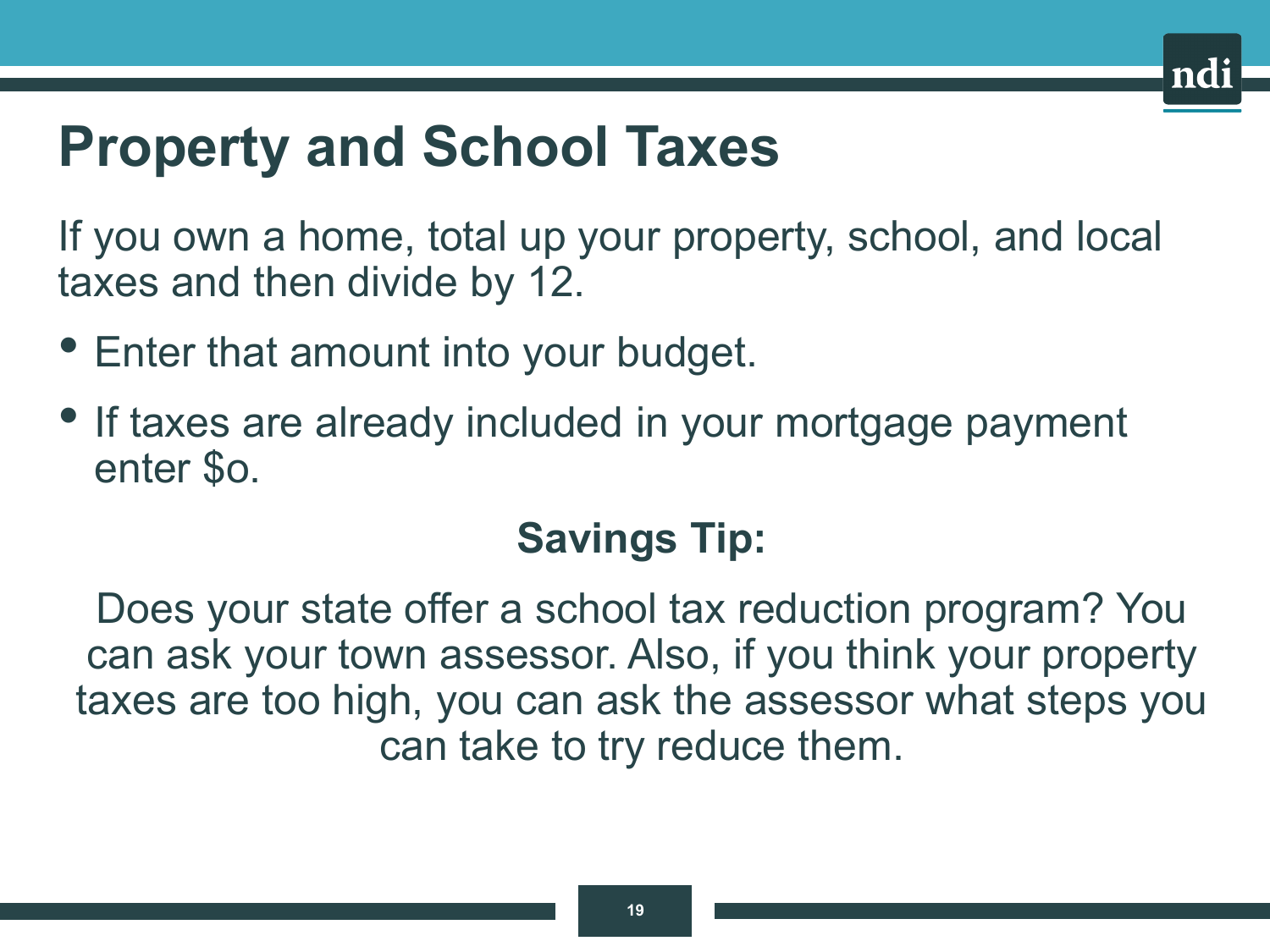### **Property and School Taxes**

If you own a home, total up your property, school, and local taxes and then divide by 12.

- Enter that amount into your budget.
- If taxes are already included in your mortgage payment enter \$o.

### **Savings Tip:**

Does your state offer a school tax reduction program? You can ask your town assessor. Also, if you think your property taxes are too high, you can ask the assessor what steps you can take to try reduce them.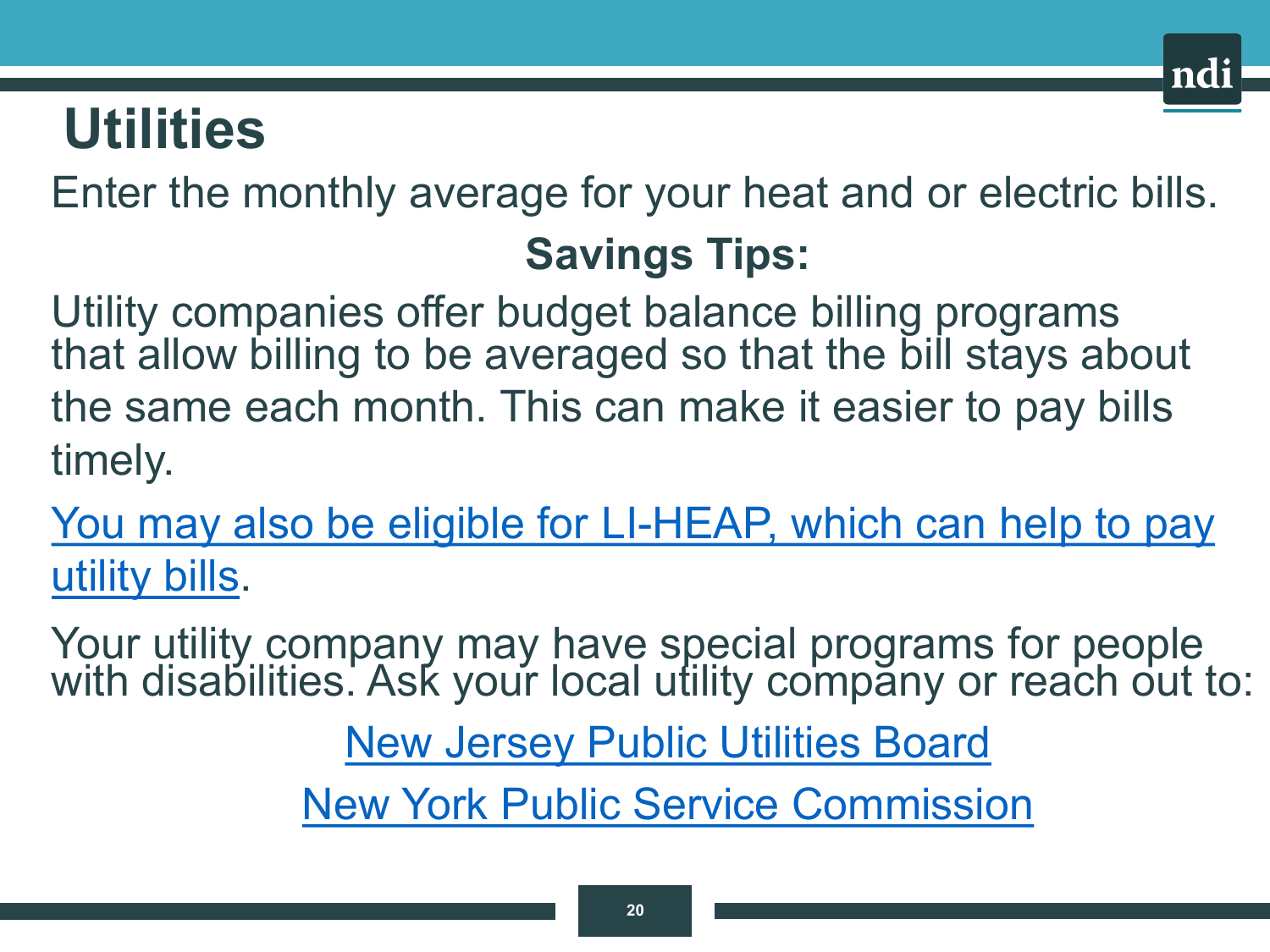### **Utilities**

Enter the monthly average for your heat and or electric bills.

### **Savings Tips:**

nd:

Utility companies offer budget balance billing programs that allow billing to be averaged so that the bill stays about the same each month. This can make it easier to pay bills timely.

[You may also be eligible for LI-HEAP, which can help to pay](http://www.benefits.gov/benefits/benefit-details/623) utility bills.

Your utility company may have special programs for people with disabilities. Ask your local utility company or reach out to:

[New Jersey Public Utilities Board](https://en.wikipedia.org/wiki/New_Jersey_Board_of_Public_Utilities)

[New York Public Service Commission](https://en.wikipedia.org/wiki/New_York_Public_Service_Commission)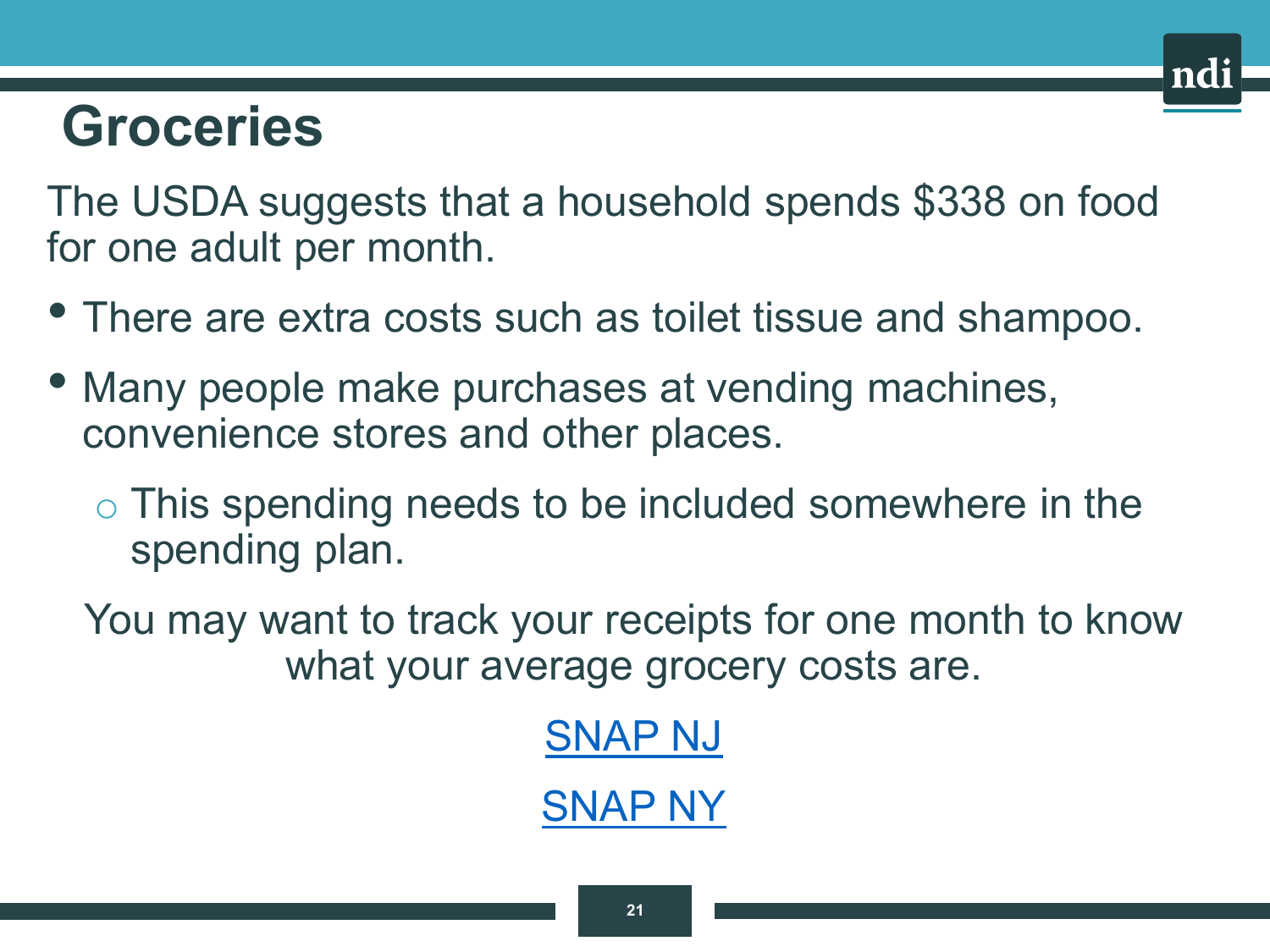### **Groceries**

The USDA suggests that a household spends \$338 on food for one adult per month.

- There are extra costs such as toilet tissue and shampoo.
- Many people make purchases at vending machines, convenience stores and other places.
	- o This spending needs to be included somewhere in the spending plan.

You may want to track your receipts for one month to know what your average grocery costs are.

> [SNAP NJ](https://www.nj.gov/humanservices/njsnap/) [SNAP NY](https://www.ny.gov/services/apply-snap)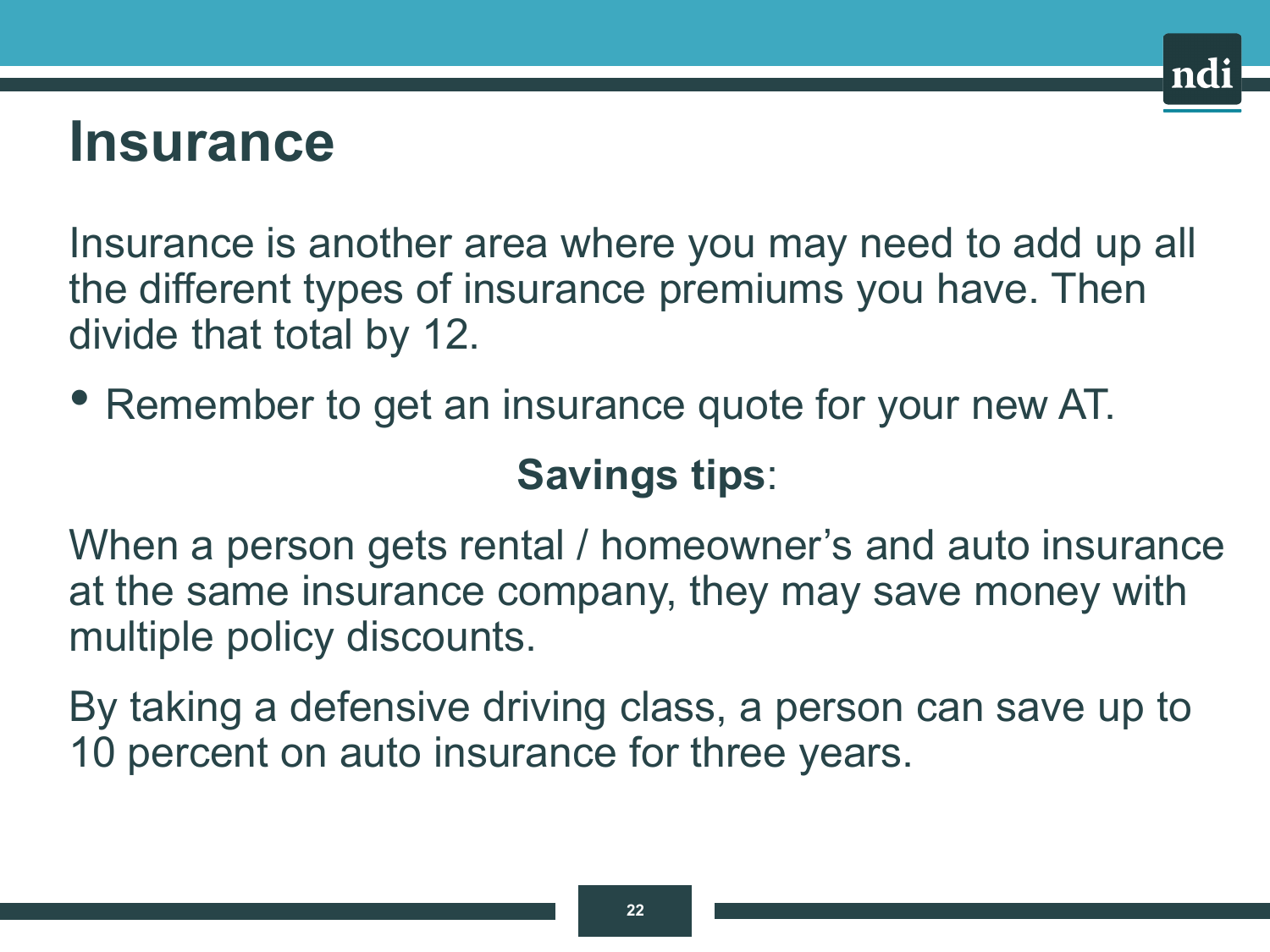### **Insurance**

Insurance is another area where you may need to add up all the different types of insurance premiums you have. Then divide that total by 12.

• Remember to get an insurance quote for your new AT.

### **Savings tips**:

When a person gets rental / homeowner's and auto insurance at the same insurance company, they may save money with multiple policy discounts.

By taking a defensive driving class, a person can save up to 10 percent on auto insurance for three years.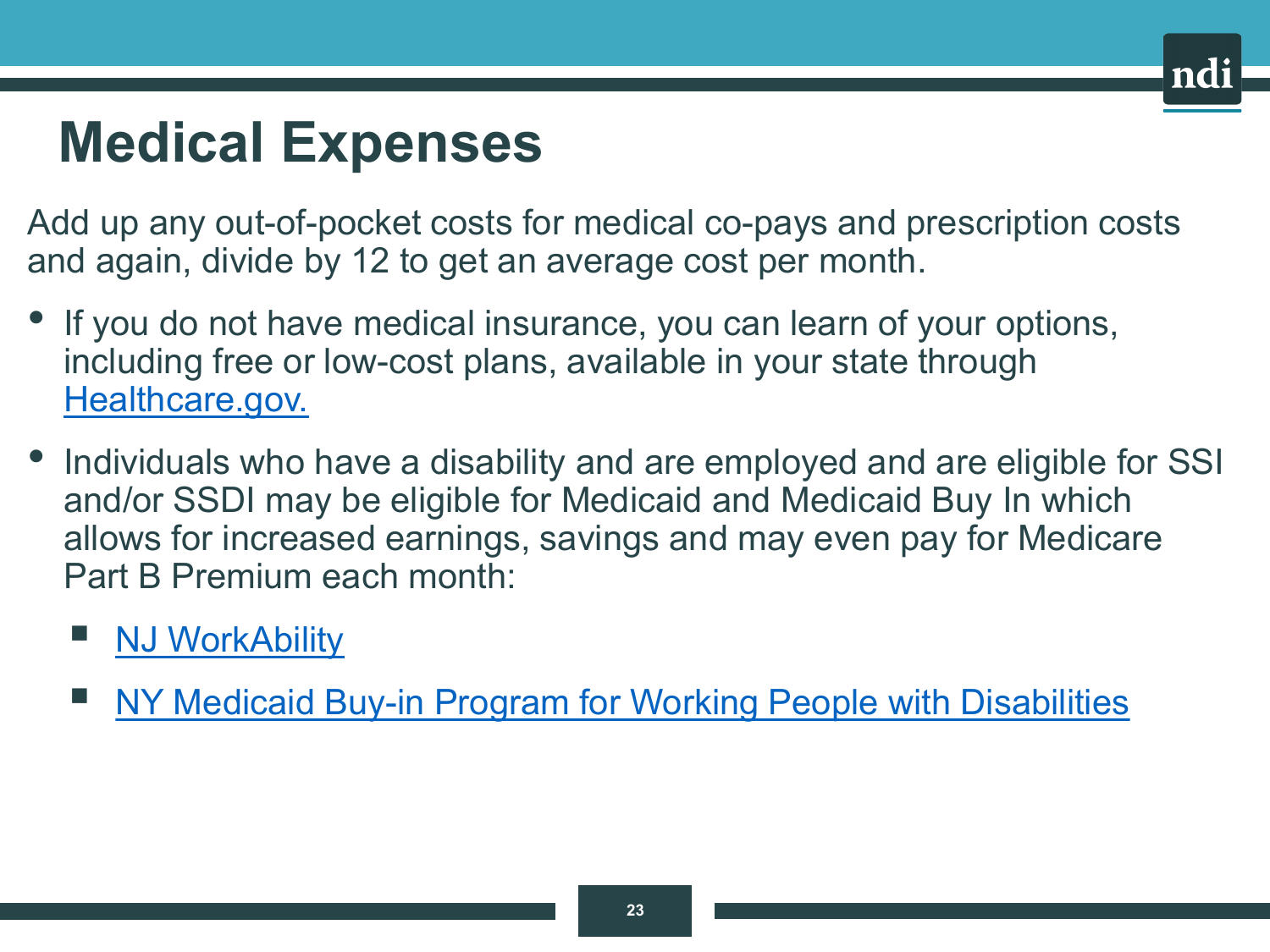# **Medical Expenses**

Add up any out-of-pocket costs for medical co-pays and prescription costs and again, divide by 12 to get an average cost per month.

- If you do not have medical insurance, you can learn of your options, including free or low-cost plans, available in your state through [Healthcare.gov.](https://www.healthcare.gov/)
- Individuals who have a disability and are employed and are eligible for SSI and/or SSDI may be eligible for Medicaid and Medicaid Buy In which allows for increased earnings, savings and may even pay for Medicare Part B Premium each month:

#### [NJ WorkAbility](https://www.state.nj.us/humanservices/dds/services/workability/)

[NY Medicaid Buy-in Program for Working People with Disabilities](https://www.health.ny.gov/health_care/medicaid/program/buy_in/)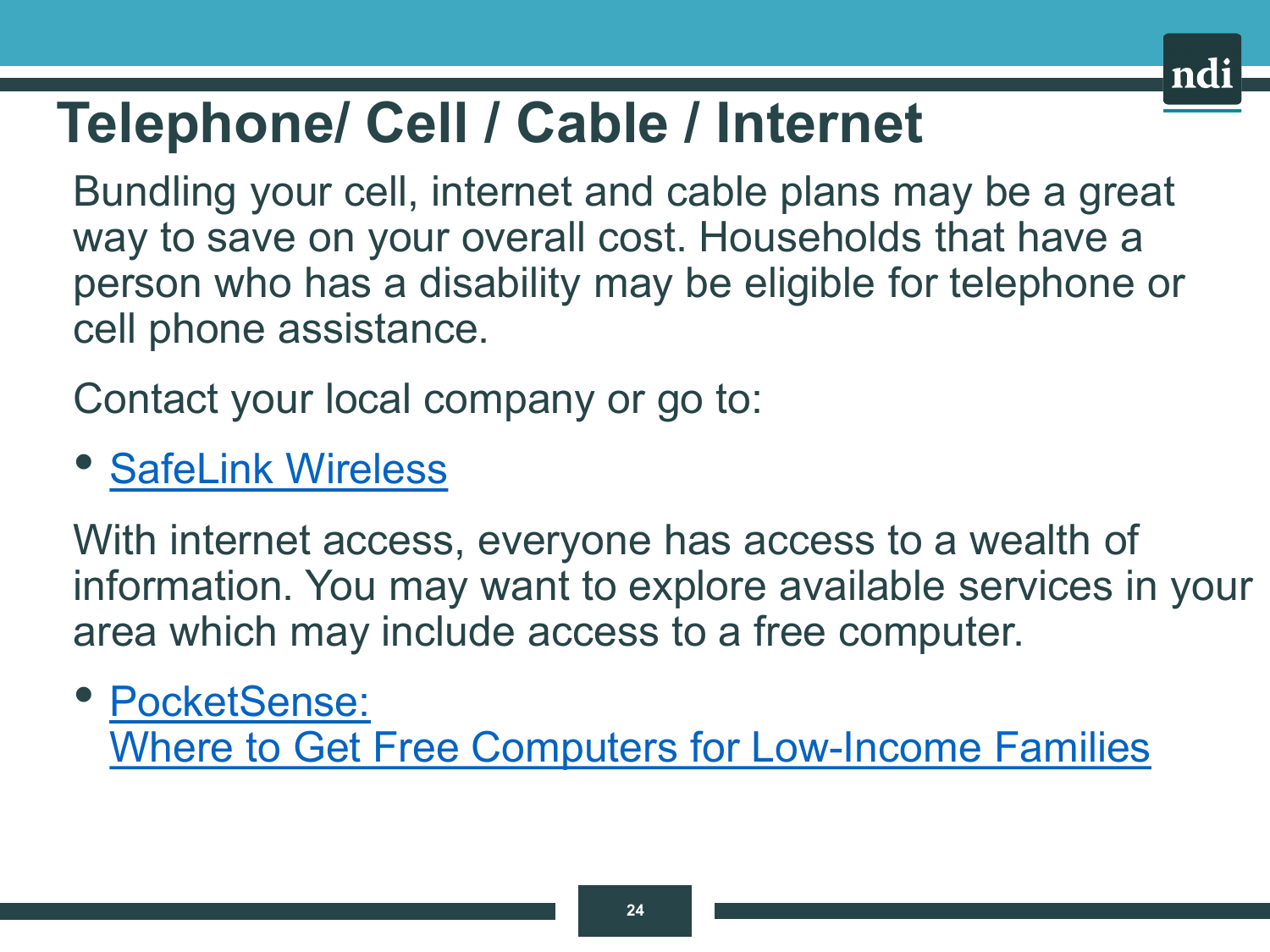

### **Telephone/ Cell / Cable / Internet**

Bundling your cell, internet and cable plans may be a great way to save on your overall cost. Households that have a person who has a disability may be eligible for telephone or cell phone assistance.

Contact your local company or go to:

#### • [SafeLink](https://www.safelinkwireless.com/Enrollment/Safelink/en/Web/www/default/index.html#!/newHome) Wireless

With internet access, everyone has access to a wealth of information. You may want to explore available services in your area which may include access to a free computer.

#### • PocketSense: [Where to Get Free Computers for Low-Income Families](https://pocketsense.com/computers-low-income-families-5015.html)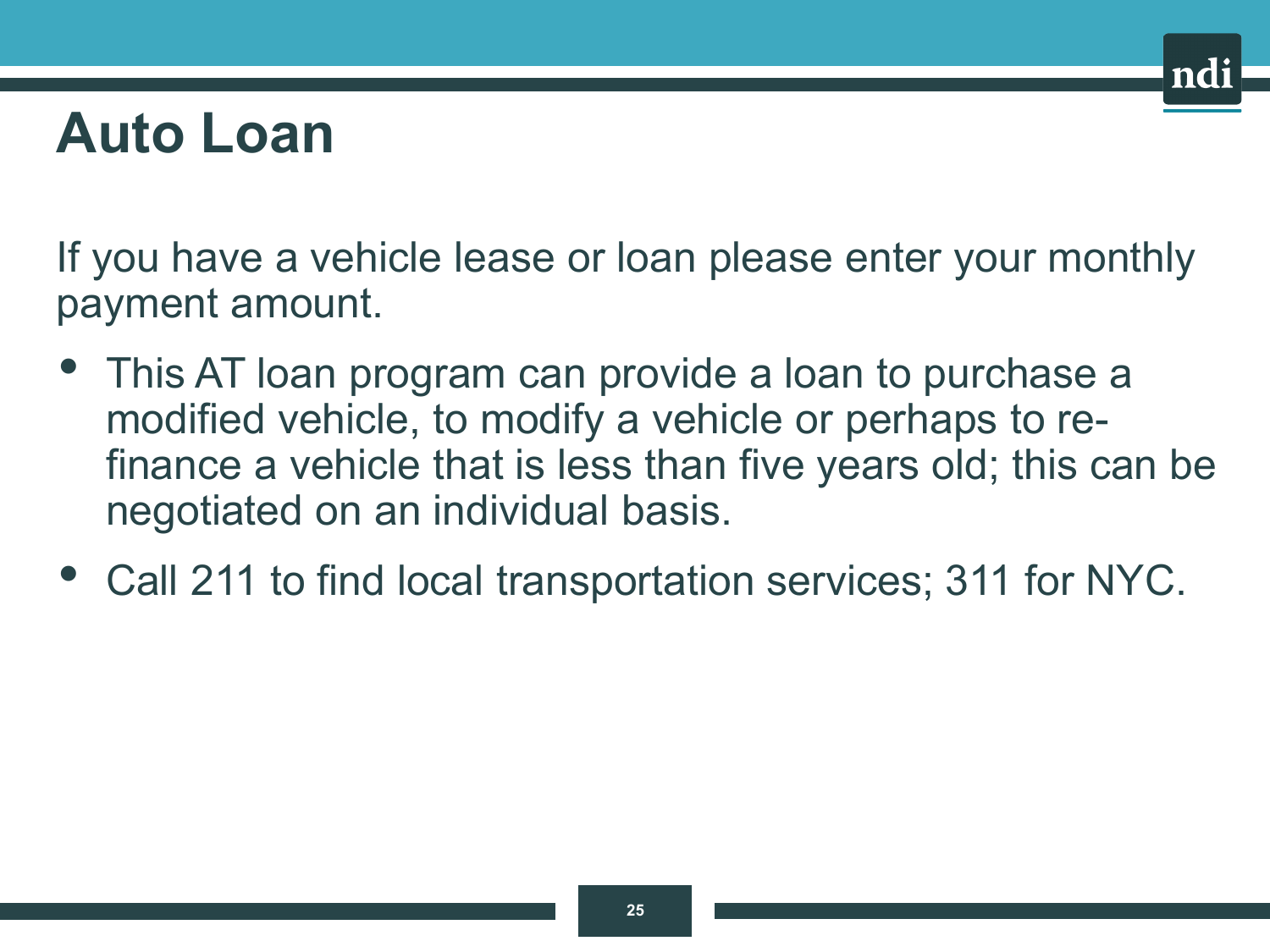### **Auto Loan**

If you have a vehicle lease or loan please enter your monthly payment amount.

- This AT loan program can provide a loan to purchase a modified vehicle, to modify a vehicle or perhaps to refinance a vehicle that is less than five years old; this can be negotiated on an individual basis.
- Call 211 to find local transportation services; 311 for NYC.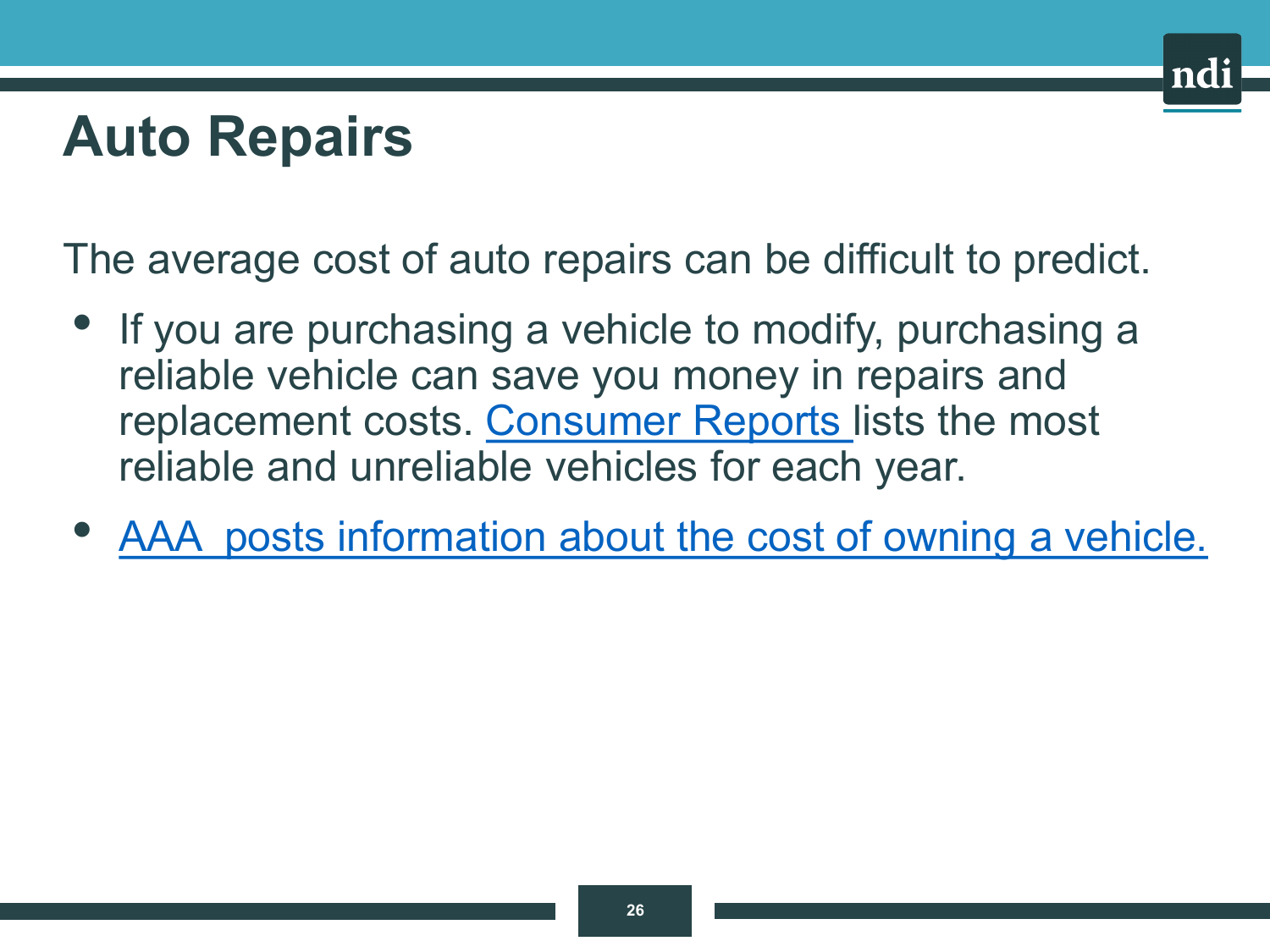### **Auto Repairs**

The average cost of auto repairs can be difficult to predict.

- If you are purchasing a vehicle to modify, purchasing a reliable vehicle can save you money in repairs and replacement costs. [Consumer Reports l](https://www.consumerreports.org/cro/cars/suvs.htm)ists the most reliable and unreliable vehicles for each year.
- [AAA posts information about the cost of owning a vehicle.](https://www.caranddriver.com/news/a37422784/aaa-annual-cost-new-car-expensive/)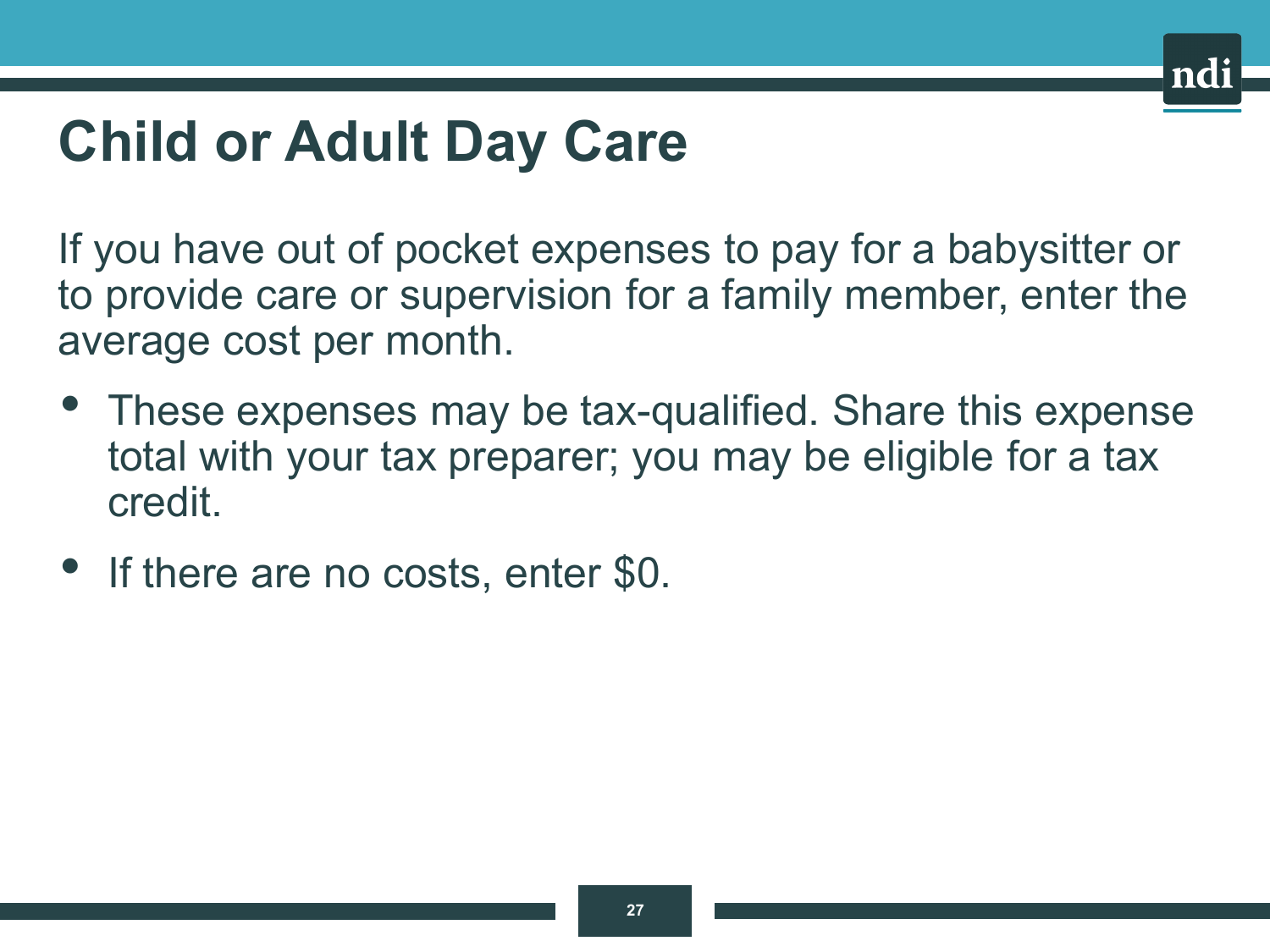# **Child or Adult Day Care**

If you have out of pocket expenses to pay for a babysitter or to provide care or supervision for a family member, enter the average cost per month.

- These expenses may be tax-qualified. Share this expense total with your tax preparer; you may be eligible for a tax credit.
- If there are no costs, enter \$0.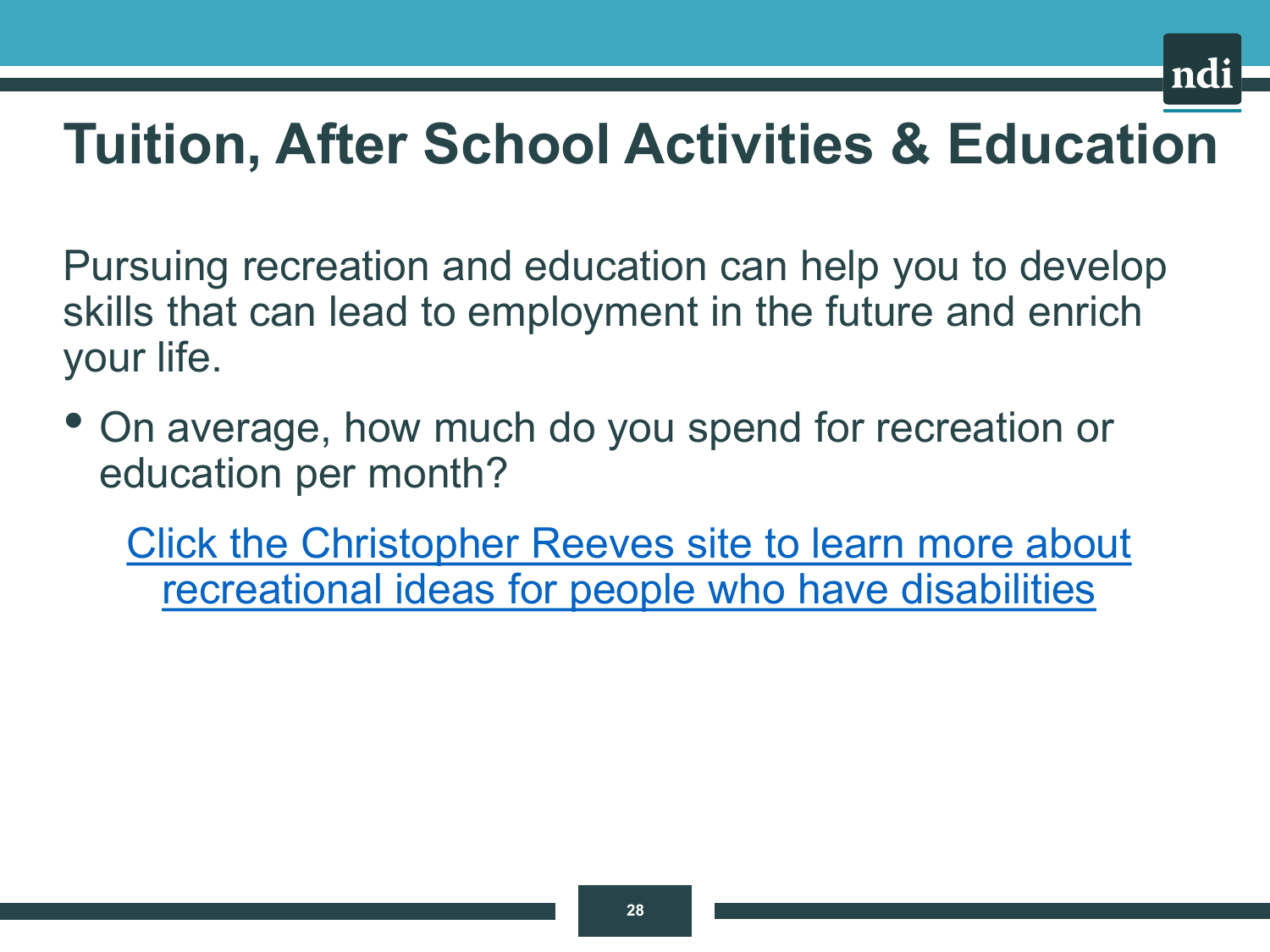

### **Tuition, After School Activities & Education**

Pursuing recreation and education can help you to develop skills that can lead to employment in the future and enrich your life.

• On average, how much do you spend for recreation or education per month?

[Click the Christopher Reeves site to learn more about](https://www.christopherreeve.org/)  recreational ideas for people who have disabilities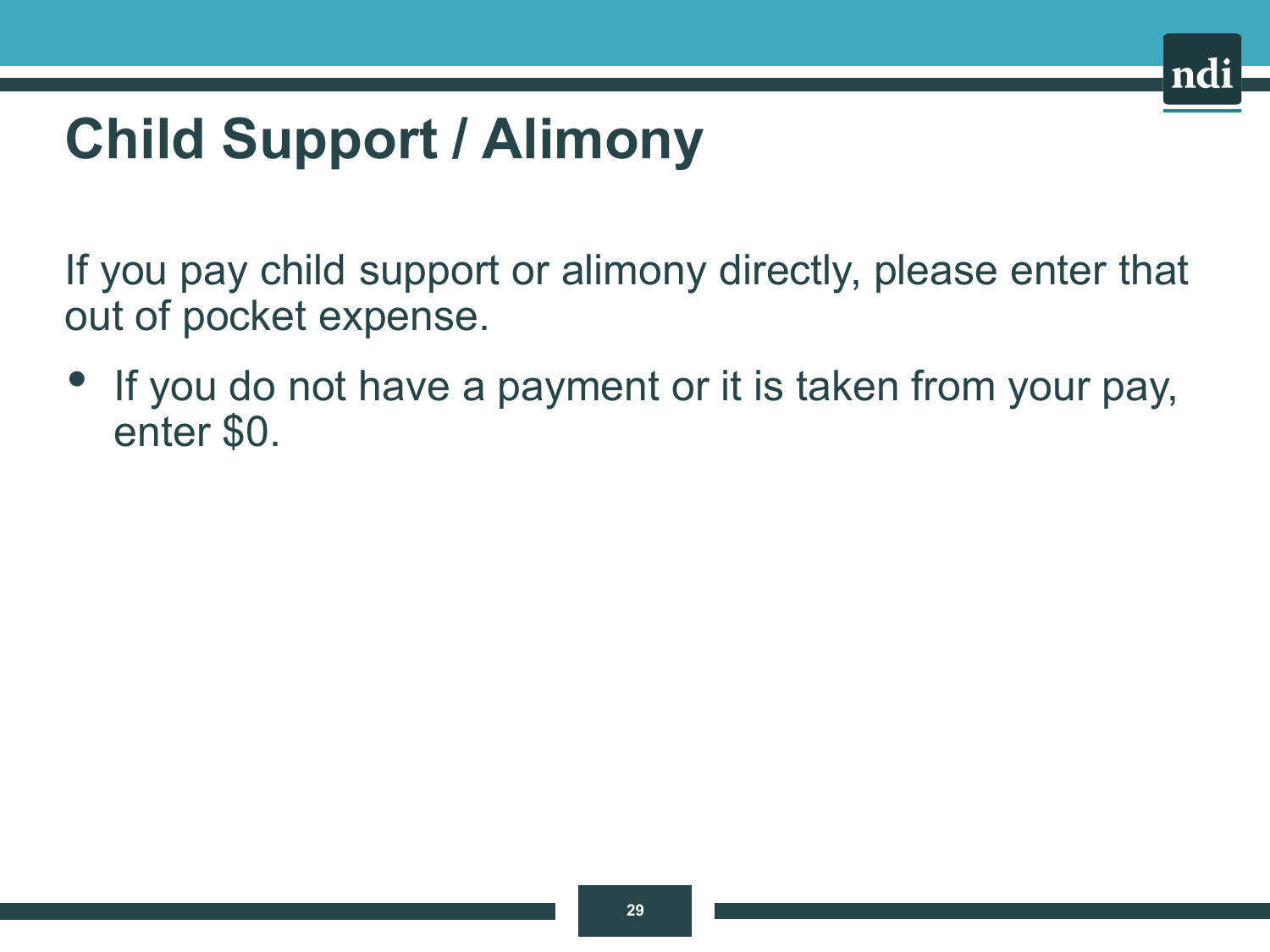# **Child Support / Alimony**

If you pay child support or alimony directly, please enter that out of pocket expense.

If you do not have a payment or it is taken from your pay, enter \$0.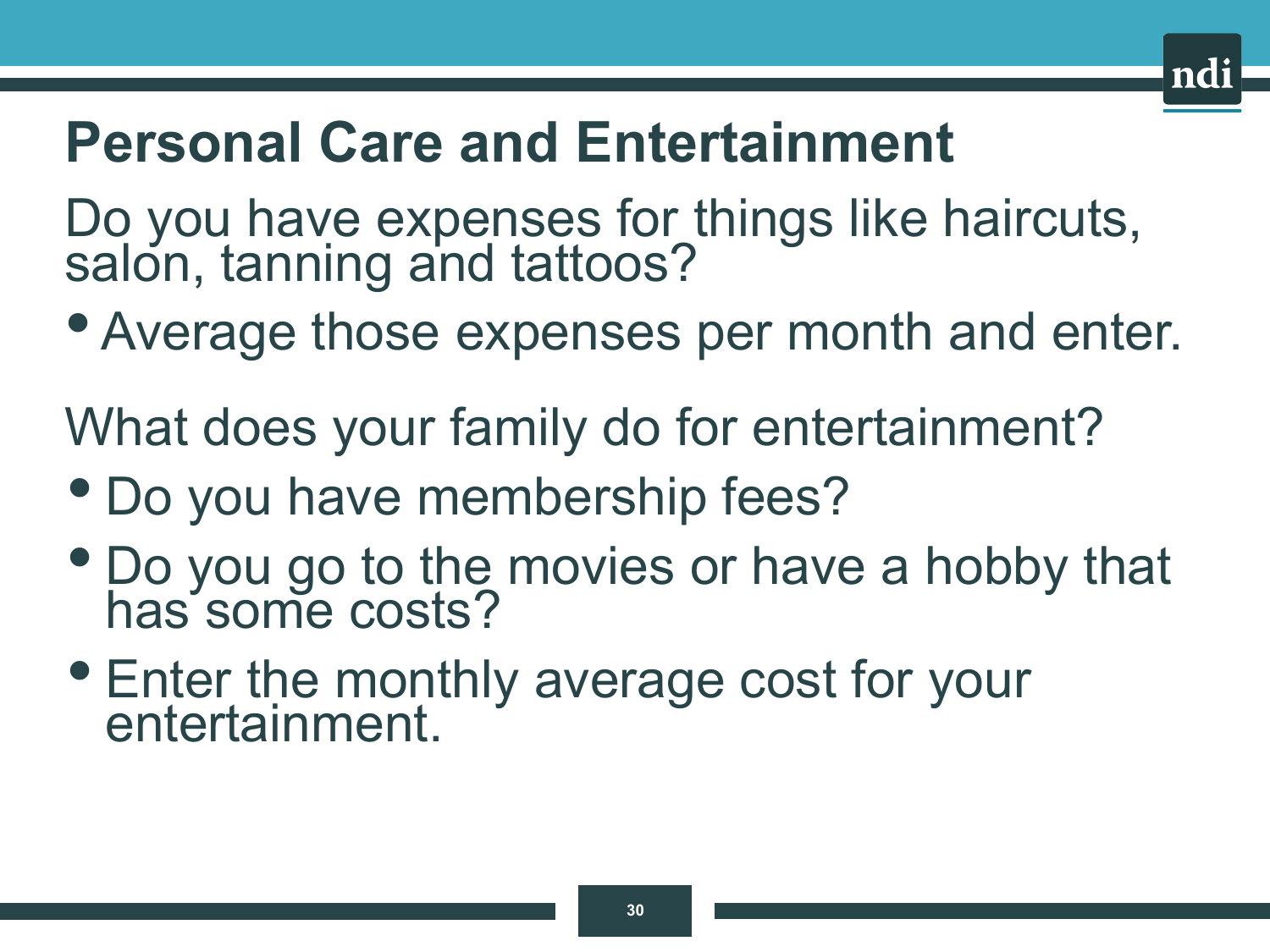### **Personal Care and Entertainment**

Do you have expenses for things like haircuts, salon, tanning and tattoos?

• Average those expenses per month and enter.

What does your family do for entertainment?

- Do you have membership fees?
- Do you go to the movies or have a hobby that has some costs?
- Enter the monthly average cost for your entertainment.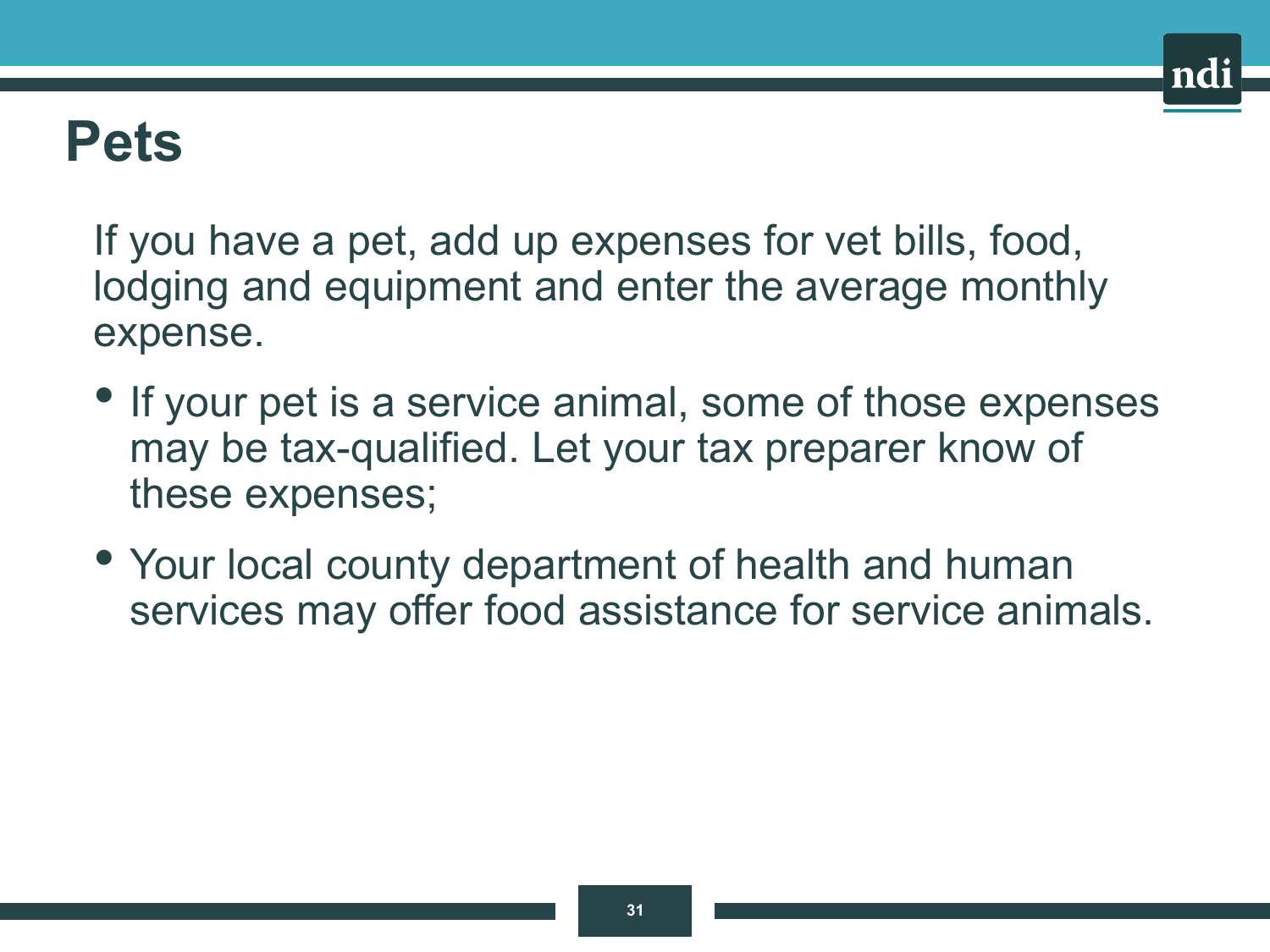### **Pets**

If you have a pet, add up expenses for vet bills, food, lodging and equipment and enter the average monthly expense.

- If your pet is a service animal, some of those expenses may be tax-qualified. Let your tax preparer know of these expenses;
- Your local county department of health and human services may offer food assistance for service animals.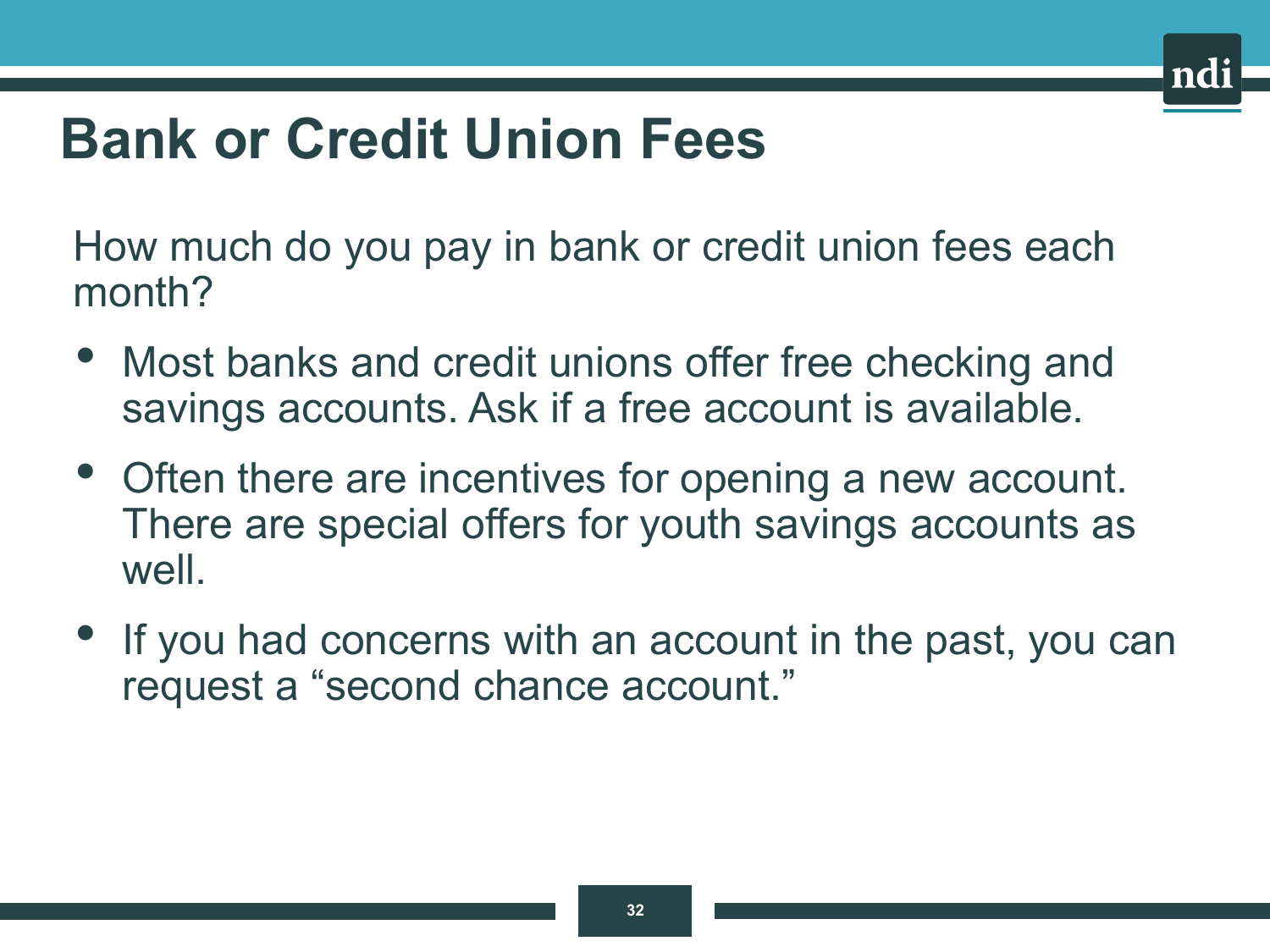# **Bank or Credit Union Fees**

How much do you pay in bank or credit union fees each month?

- Most banks and credit unions offer free checking and savings accounts. Ask if a free account is available.
- Often there are incentives for opening a new account. There are special offers for youth savings accounts as well.
- If you had concerns with an account in the past, you can request a "second chance account."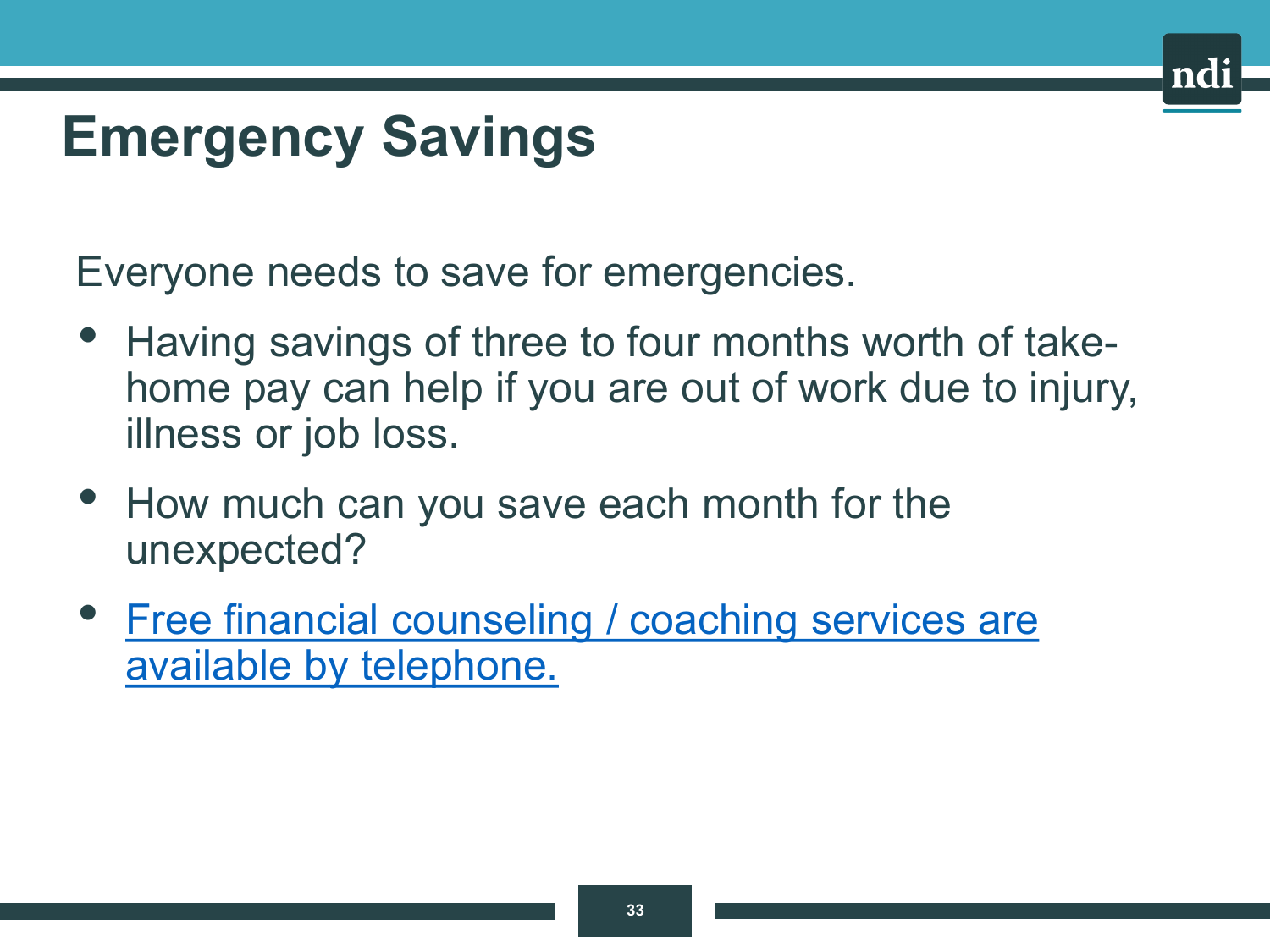## **Emergency Savings**

Everyone needs to save for emergencies.

- Having savings of three to four months worth of takehome pay can help if you are out of work due to injury, illness or job loss.
- How much can you save each month for the unexpected?
- [Free financial counseling / coaching services are](https://www.nationaldisabilityinstitute.org/financial-resilience-center/take-action/#afcpe) available by telephone.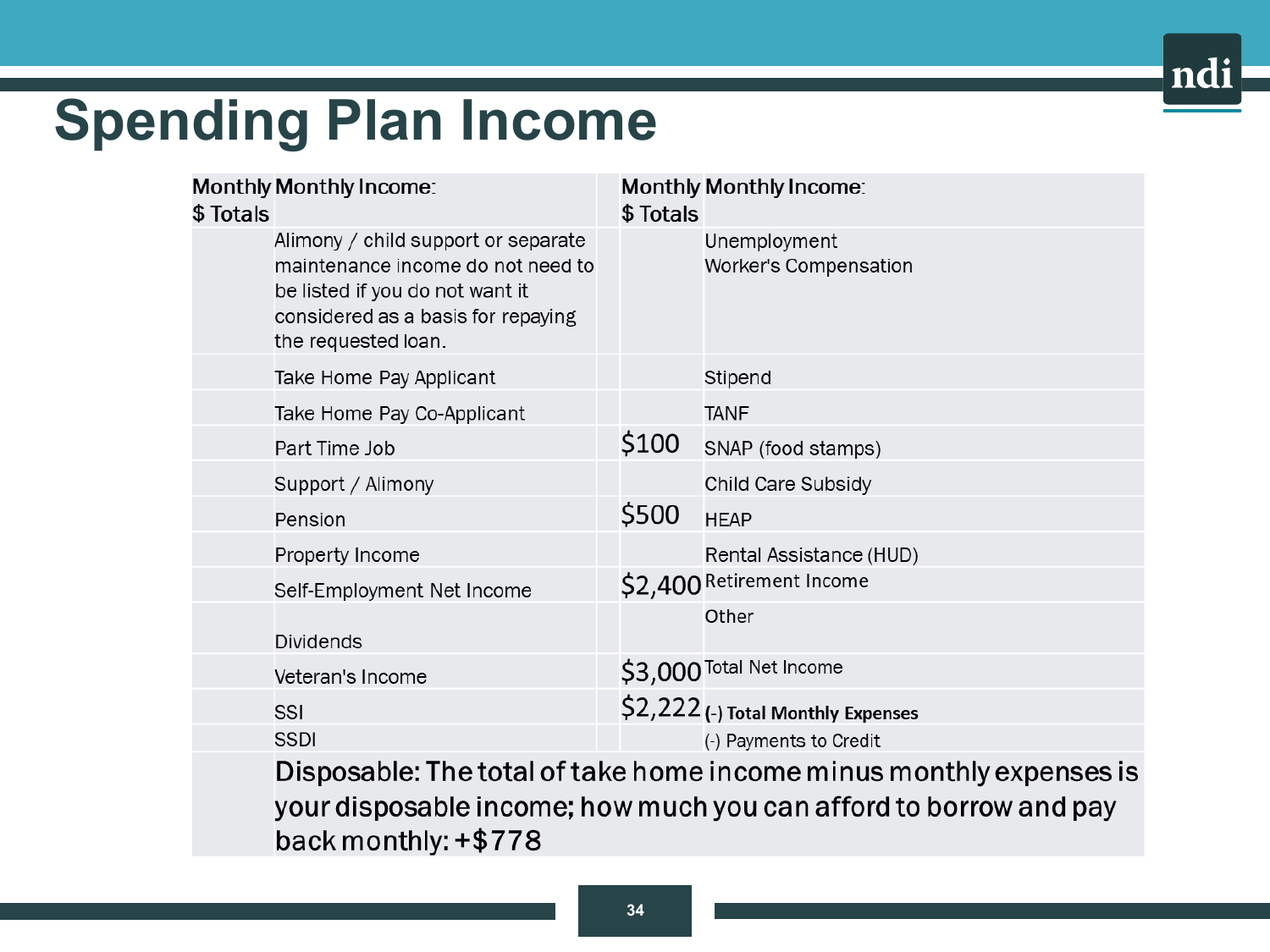### ndi

# **Spending Plan Income**

| \$ Totals | <b>Monthly Monthly Income:</b>                                                                                                                                           | \$ Totals | <b>Monthly Monthly Income:</b>        |  |  |  |
|-----------|--------------------------------------------------------------------------------------------------------------------------------------------------------------------------|-----------|---------------------------------------|--|--|--|
|           | Alimony / child support or separate<br>maintenance income do not need to<br>be listed if you do not want it<br>considered as a basis for repaying<br>the requested loan. |           | Unemployment<br>Worker's Compensation |  |  |  |
|           | Take Home Pay Applicant                                                                                                                                                  |           | Stipend                               |  |  |  |
|           | Take Home Pay Co-Applicant                                                                                                                                               |           | <b>TANF</b>                           |  |  |  |
|           | Part Time Job                                                                                                                                                            | \$100     | SNAP (food stamps)                    |  |  |  |
|           | Support / Alimony                                                                                                                                                        |           | Child Care Subsidy                    |  |  |  |
|           | Pension                                                                                                                                                                  | \$500     | <b>HEAP</b>                           |  |  |  |
|           | Property Income                                                                                                                                                          |           | Rental Assistance (HUD)               |  |  |  |
|           | Self-Employment Net Income                                                                                                                                               |           | \$2,400 Retirement Income             |  |  |  |
|           | <b>Dividends</b>                                                                                                                                                         |           | Other                                 |  |  |  |
|           | Veteran's Income                                                                                                                                                         |           | \$3,000 Total Net Income              |  |  |  |
|           | SSI                                                                                                                                                                      |           | \$2,222 (-) Total Monthly Expenses    |  |  |  |
|           | <b>SSDI</b>                                                                                                                                                              |           | (-) Payments to Credit                |  |  |  |
|           | Disposable: The total of take home income minus monthly expenses is<br>vour disposable income: how much you can afford to borrow and pay                                 |           |                                       |  |  |  |

back monthly: +\$778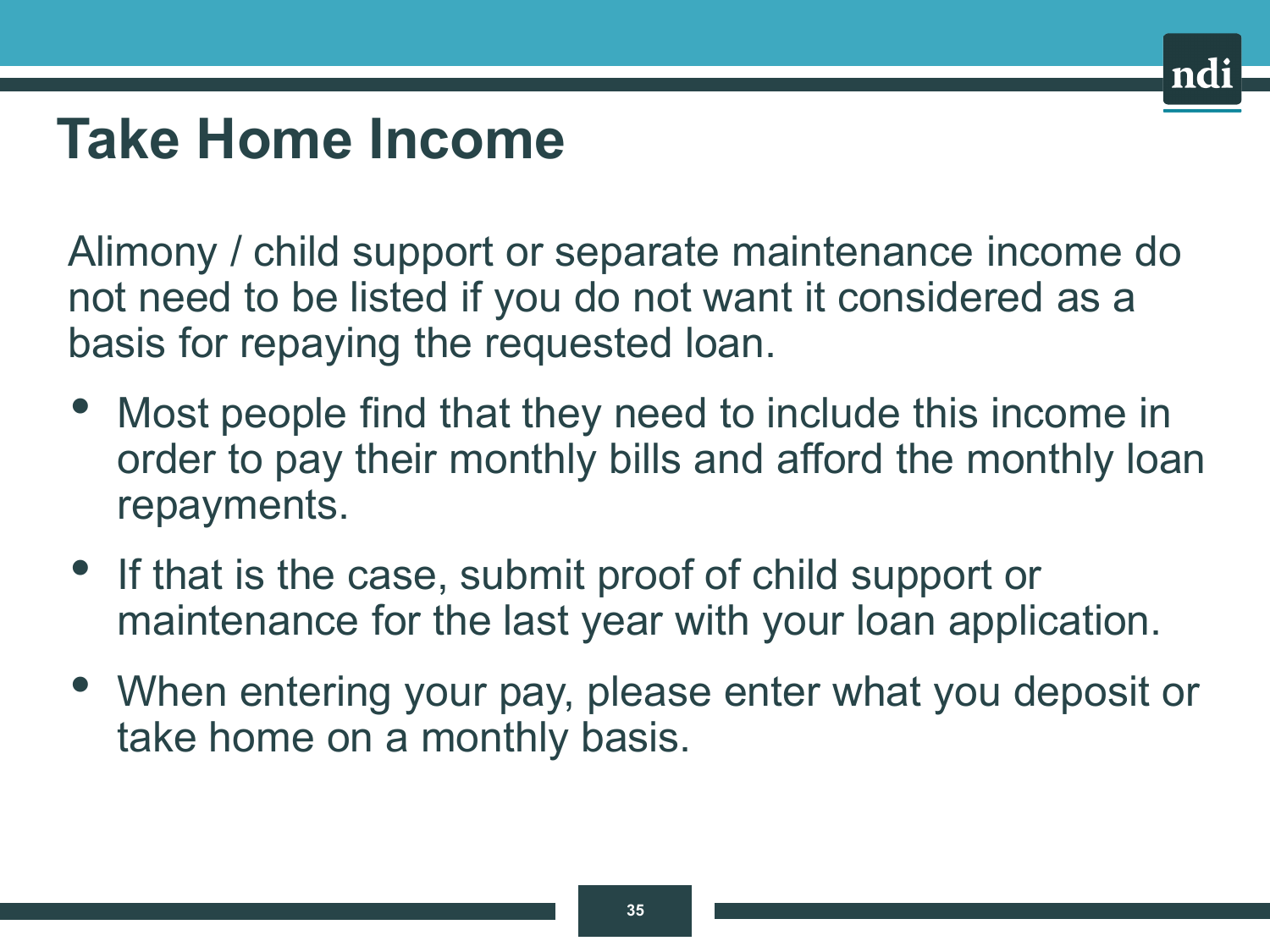# **Take Home Income**

Alimony / child support or separate maintenance income do not need to be listed if you do not want it considered as a basis for repaying the requested loan.

- Most people find that they need to include this income in order to pay their monthly bills and afford the monthly loan repayments.
- If that is the case, submit proof of child support or maintenance for the last year with your loan application.
- When entering your pay, please enter what you deposit or take home on a monthly basis.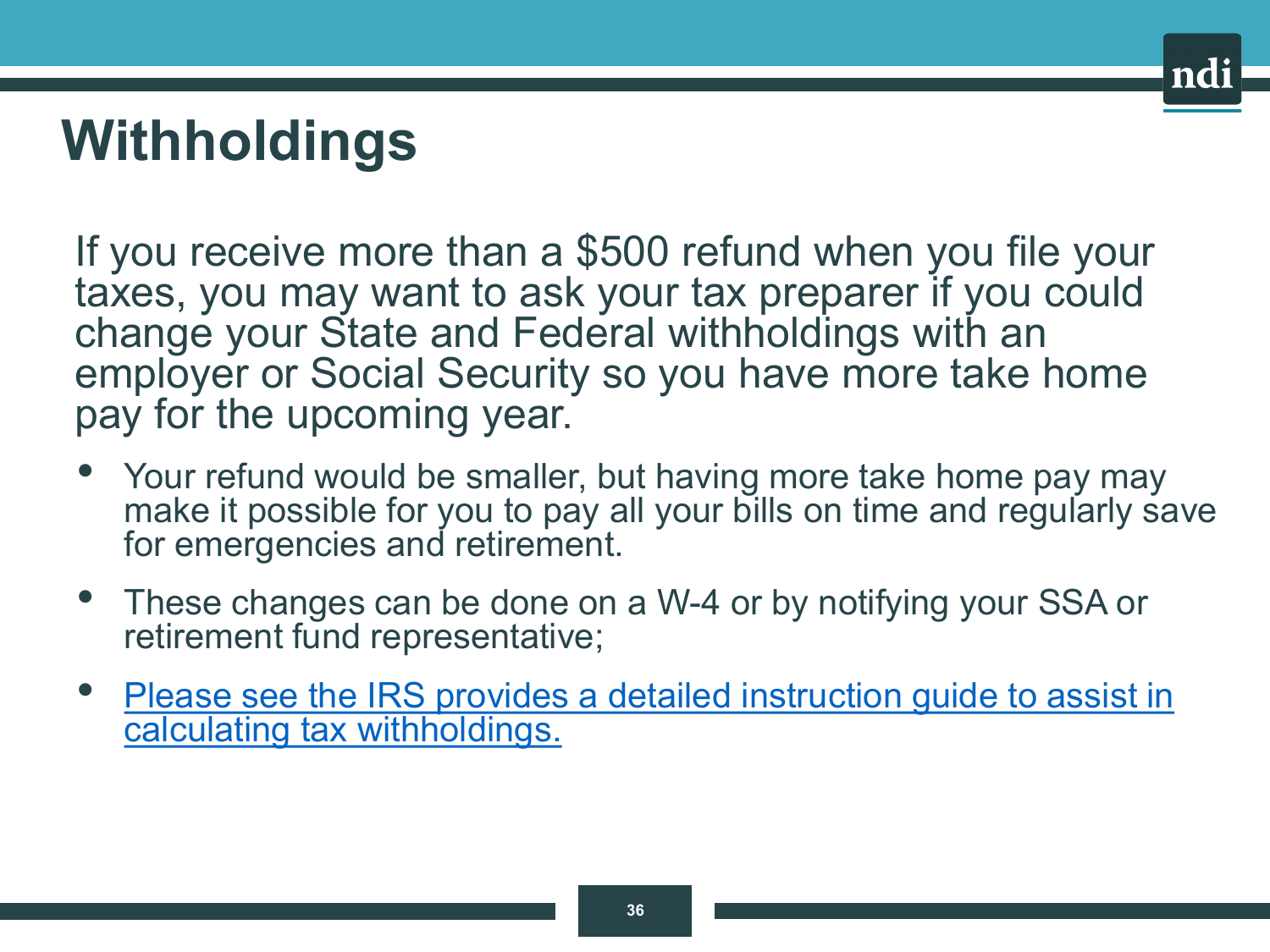# **Withholdings**

If you receive more than a \$500 refund when you file your taxes, you may want to ask your tax preparer if you could change your State and Federal withholdings with an employer or Social Security so you have more take home pay for the upcoming year.

- Your refund would be smaller, but having more take home pay may make it possible for you to pay all your bills on time and regularly save for emergencies and retirement.
- These changes can be done on a W-4 or by notifying your SSA or retirement fund representative;
- [Please see the IRS provides a detailed instruction guide to assist in](http://www.irs.gov/W4App)  calculating tax withholdings.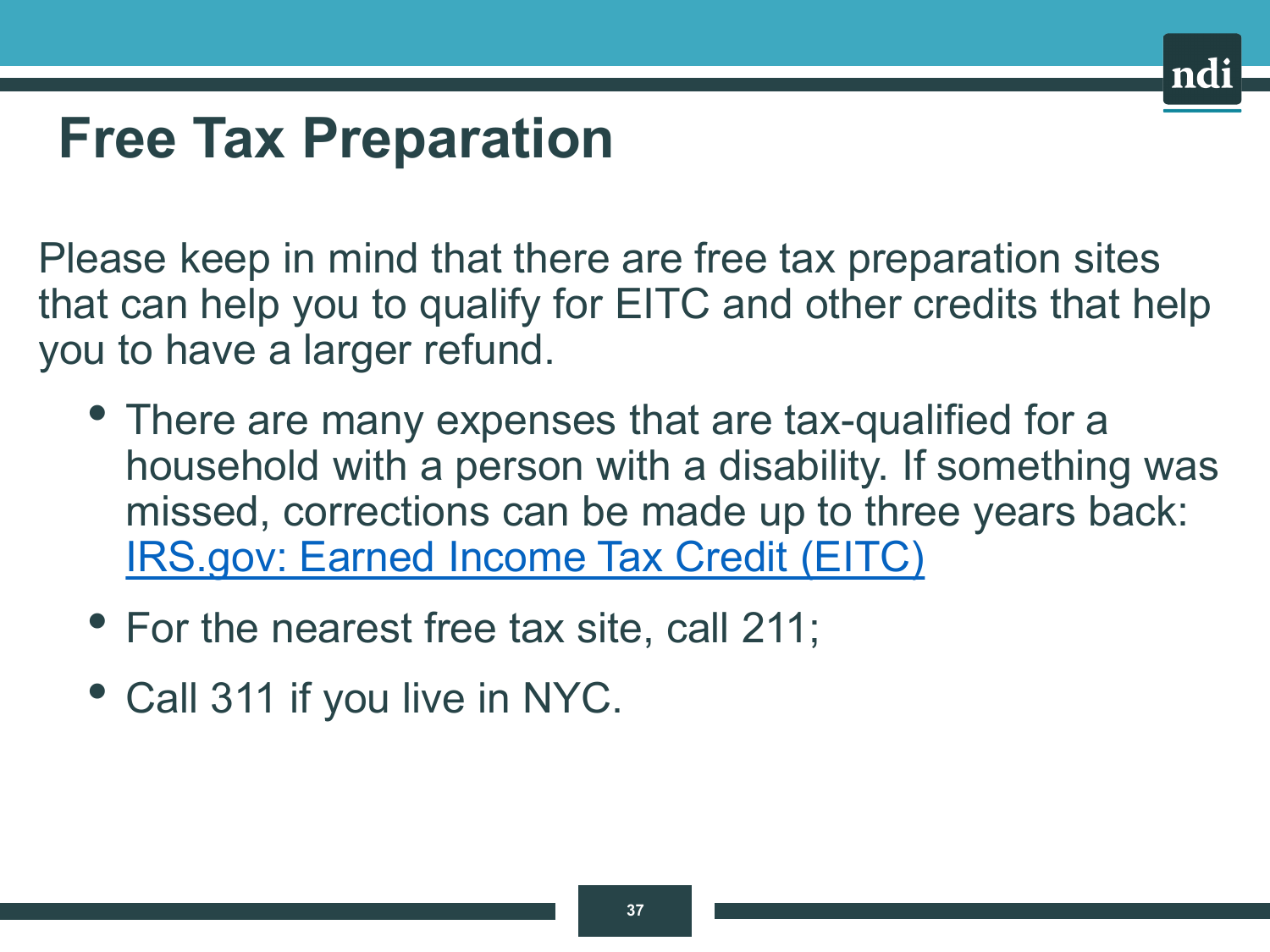## **Free Tax Preparation**

Please keep in mind that there are free tax preparation sites that can help you to qualify for EITC and other credits that help you to have a larger refund.

- There are many expenses that are tax-qualified for a household with a person with a disability. If something was missed, corrections can be made up to three years back: [IRS.gov: Earned Income Tax Credit \(EITC\)](https://www.irs.gov/credits-deductions/individuals/earned-income-tax-credit-eitc)
- For the nearest free tax site, call 211;
- Call 311 if you live in NYC.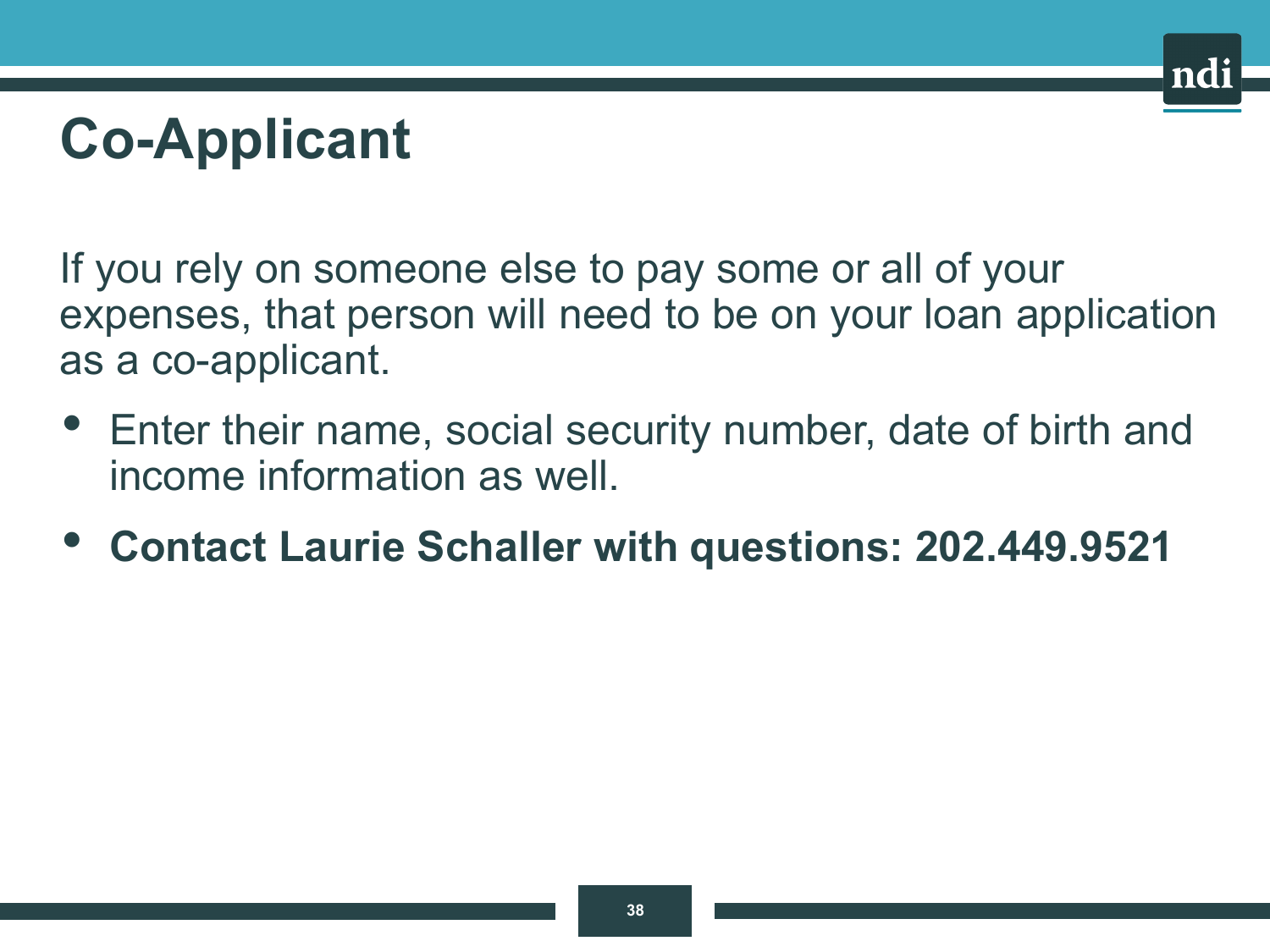# **Co-Applicant**

If you rely on someone else to pay some or all of your expenses, that person will need to be on your loan application as a co-applicant.

- Enter their name, social security number, date of birth and income information as well.
- **Contact Laurie Schaller with questions: 202.449.9521**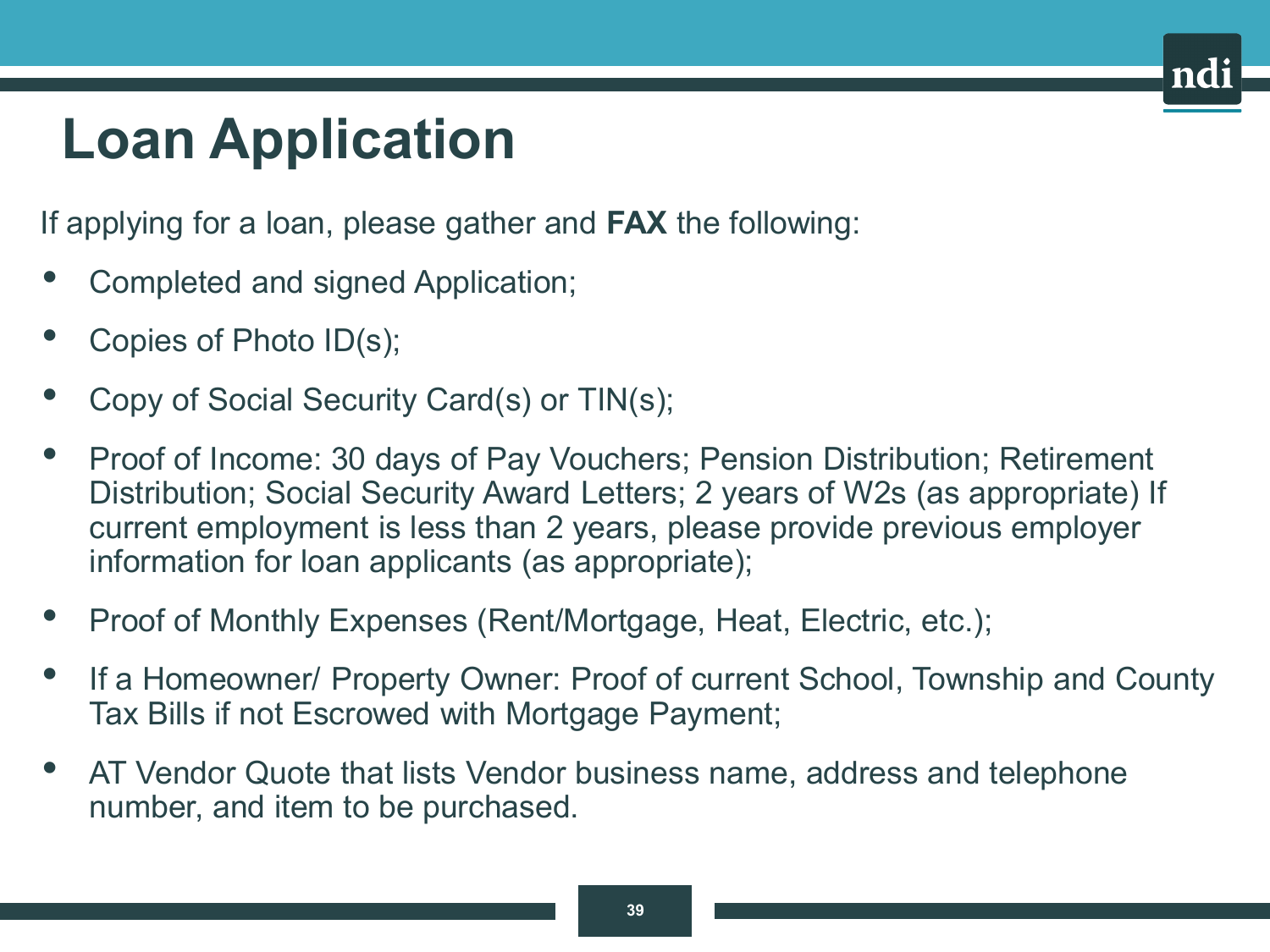# **Loan Application**

If applying for a loan, please gather and **FAX** the following:

- Completed and signed Application;
- Copies of Photo  $ID(s)$ ;
- Copy of Social Security Card(s) or TIN(s);
- Proof of Income: 30 days of Pay Vouchers; Pension Distribution; Retirement Distribution; Social Security Award Letters; 2 years of W2s (as appropriate) If current employment is less than 2 years, please provide previous employer information for loan applicants (as appropriate);
- Proof of Monthly Expenses (Rent/Mortgage, Heat, Electric, etc.);
- If a Homeowner/ Property Owner: Proof of current School, Township and County Tax Bills if not Escrowed with Mortgage Payment;
- AT Vendor Quote that lists Vendor business name, address and telephone number, and item to be purchased.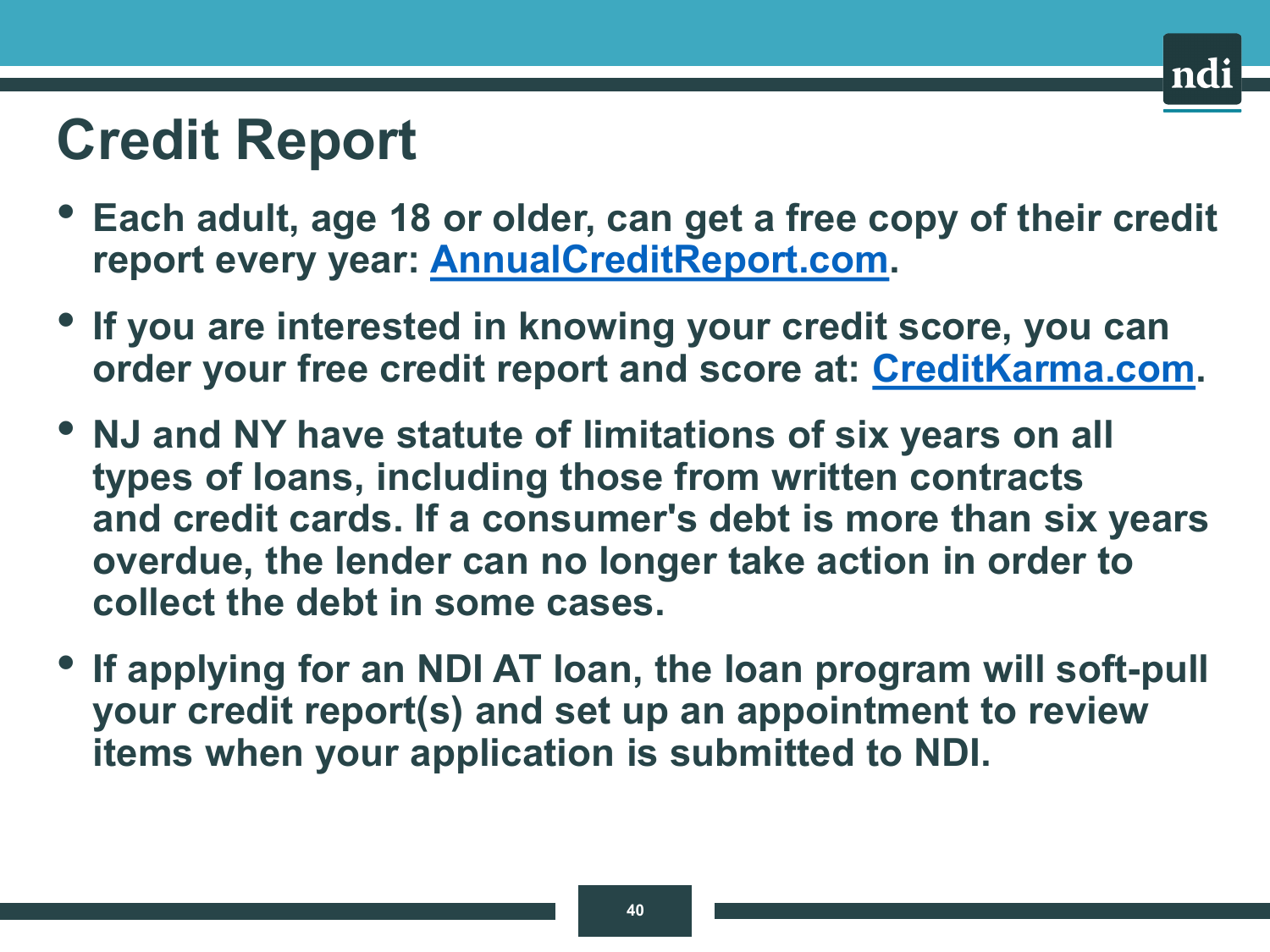# **Credit Report**

- **Each adult, age 18 or older, can get a free copy of their credit report every year: [AnnualCreditReport.com](https://www.annualcreditreport.com/index.action).**
- **If you are interested in knowing your credit score, you can order your free credit report and score at: [CreditKarma.com.](https://www.creditkarma.com/)**
- **NJ and NY have statute of limitations of six years on all types of loans, including those from written contracts and credit cards. If a consumer's debt is more than six years overdue, the lender can no longer take action in order to collect the debt in some cases.**
- **If applying for an NDI AT loan, the loan program will soft-pull your credit report(s) and set up an appointment to review items when your application is submitted to NDI.**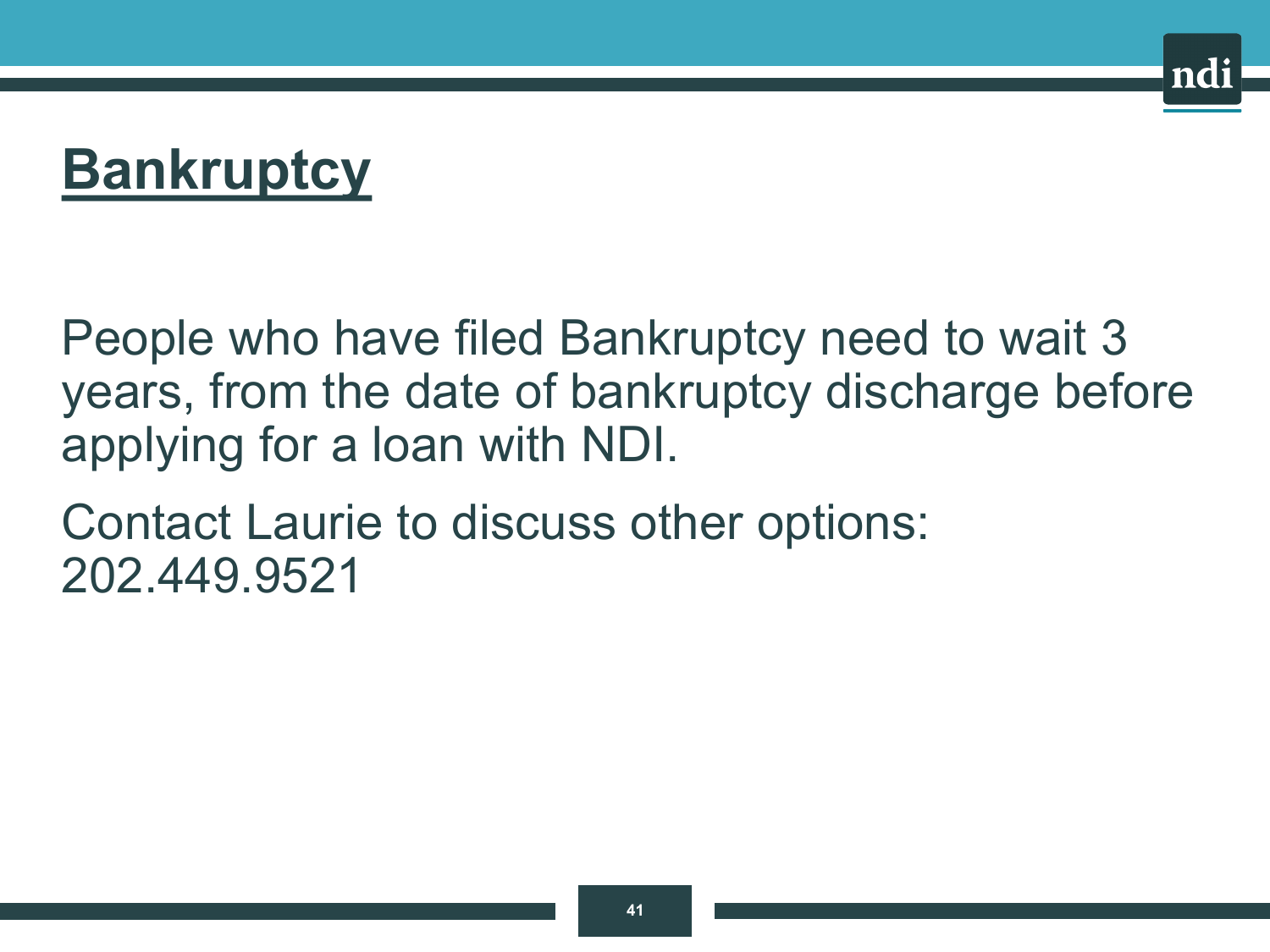# **Bankruptcy**

People who have filed Bankruptcy need to wait 3 years, from the date of bankruptcy discharge before applying for a loan with NDI.

Contact Laurie to discuss other options: 202.449.9521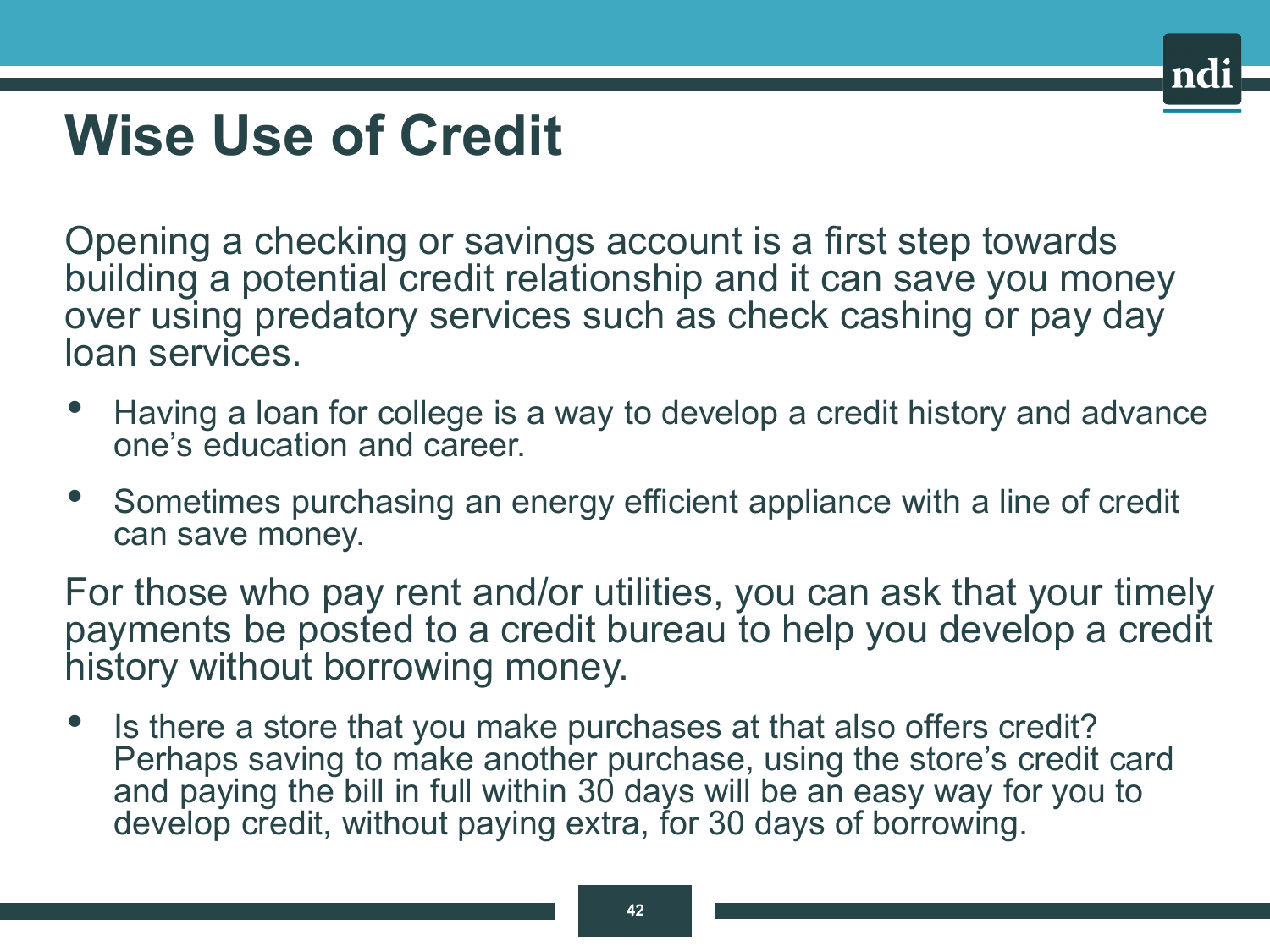### **Wise Use of Credit**

Opening a checking or savings account is a first step towards building a potential credit relationship and it can save you money over using predatory services such as check cashing or pay day loan services.

- Having a loan for college is a way to develop a credit history and advance one's education and career.
- Sometimes purchasing an energy efficient appliance with a line of credit can save money.

For those who pay rent and/or utilities, you can ask that your timely payments be posted to a credit bureau to help you develop a credit history without borrowing money.

• Is there a store that you make purchases at that also offers credit? Perhaps saving to make another purchase, using the store's credit card and paying the bill in full within 30 days will be an easy way for you to develop credit, without paying extra, for 30 days of borrowing.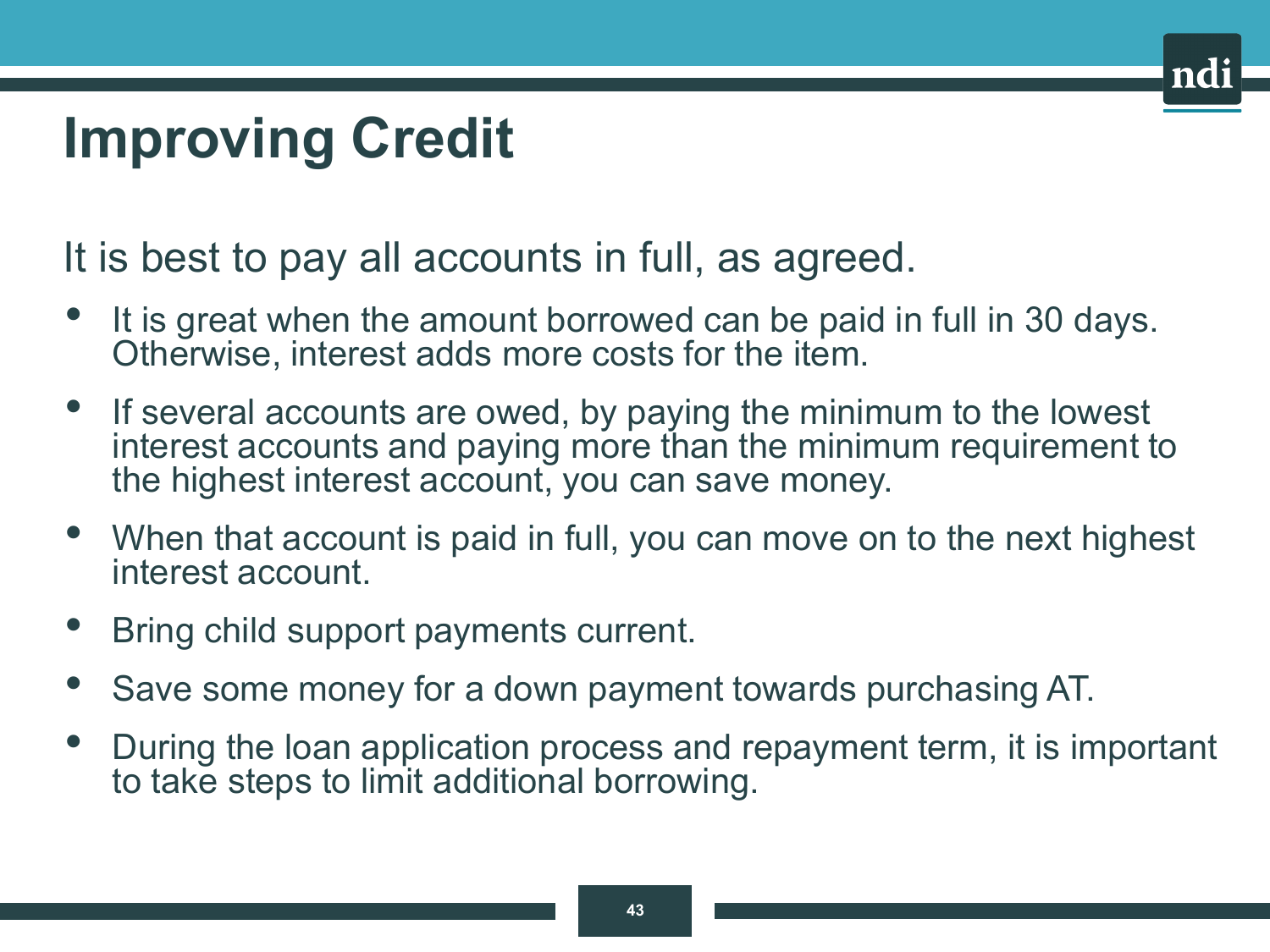# **Improving Credit**

It is best to pay all accounts in full, as agreed.

- It is great when the amount borrowed can be paid in full in 30 days. Otherwise, interest adds more costs for the item.
- If several accounts are owed, by paying the minimum to the lowest interest accounts and paying more than the minimum requirement to the highest interest account, you can save money.
- When that account is paid in full, you can move on to the next highest interest account.
- Bring child support payments current.
- Save some money for a down payment towards purchasing AT.
- During the loan application process and repayment term, it is important to take steps to limit additional borrowing.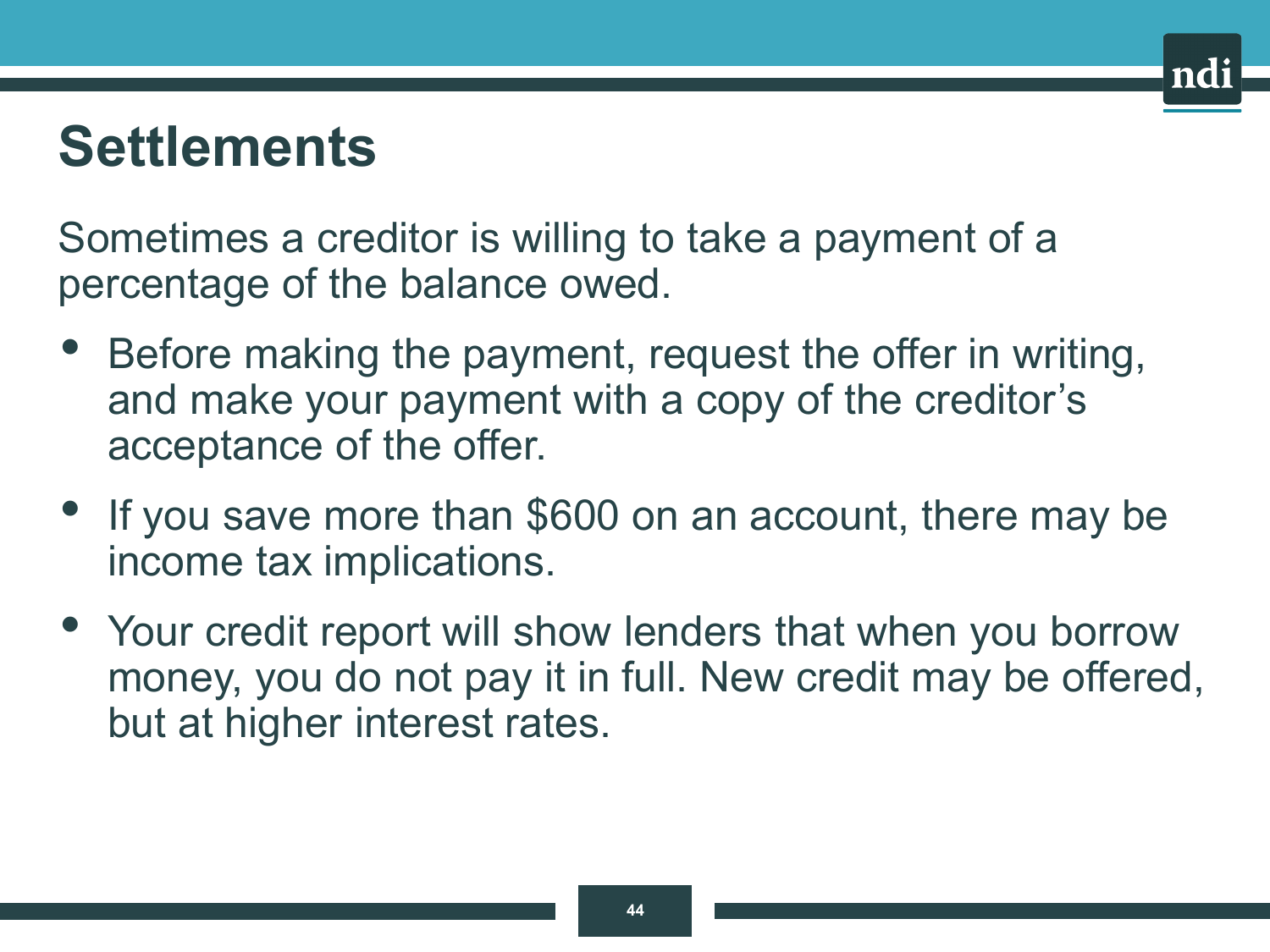### **Settlements**

Sometimes a creditor is willing to take a payment of a percentage of the balance owed.

- Before making the payment, request the offer in writing, and make your payment with a copy of the creditor's acceptance of the offer.
- If you save more than \$600 on an account, there may be income tax implications.
- Your credit report will show lenders that when you borrow money, you do not pay it in full. New credit may be offered, but at higher interest rates.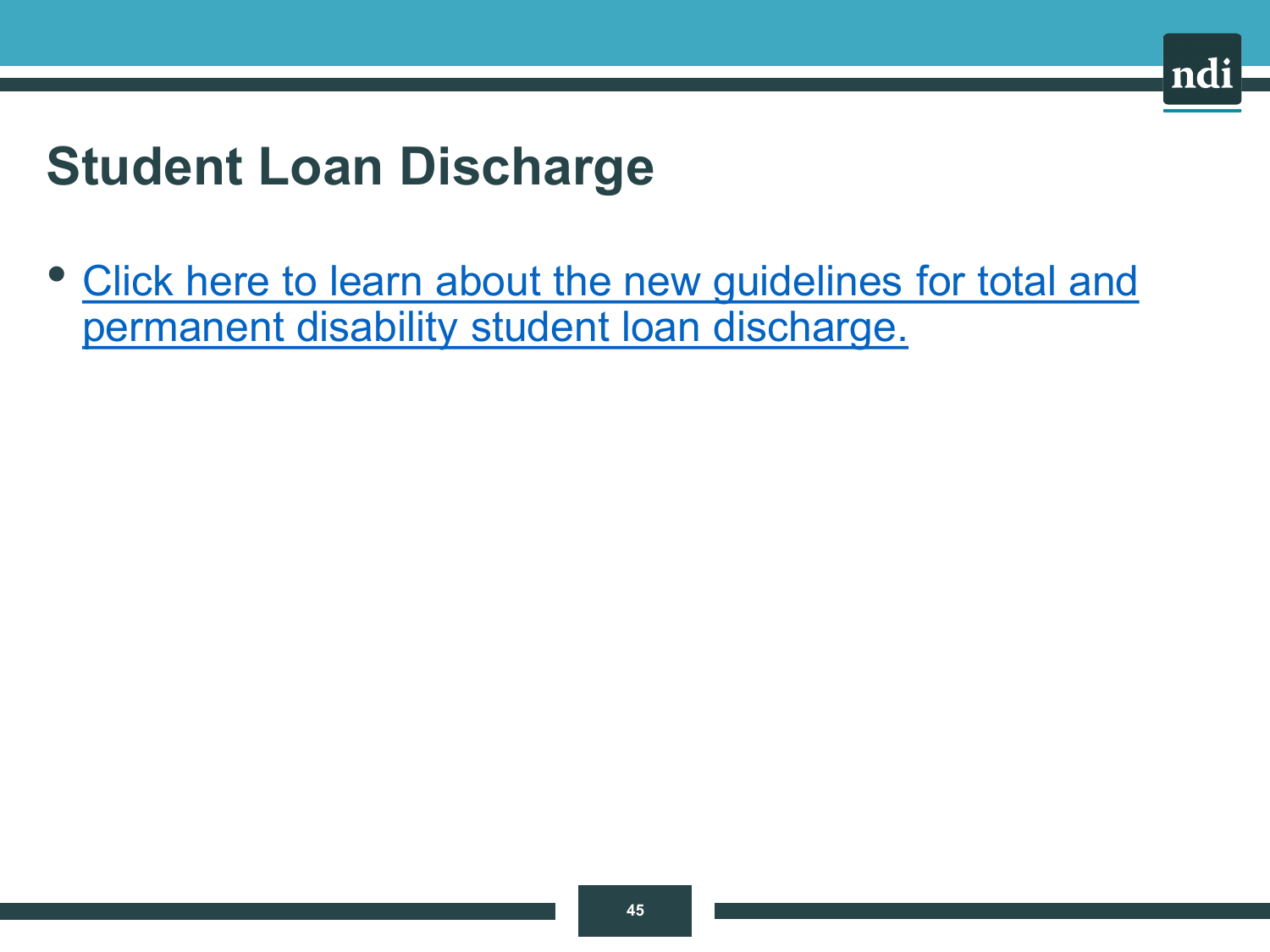### **Student Loan Discharge**

• [Click here to learn about the new guidelines for total and](https://www.disabilitydischarge.com/tpd-101)  permanent disability student loan discharge.

nd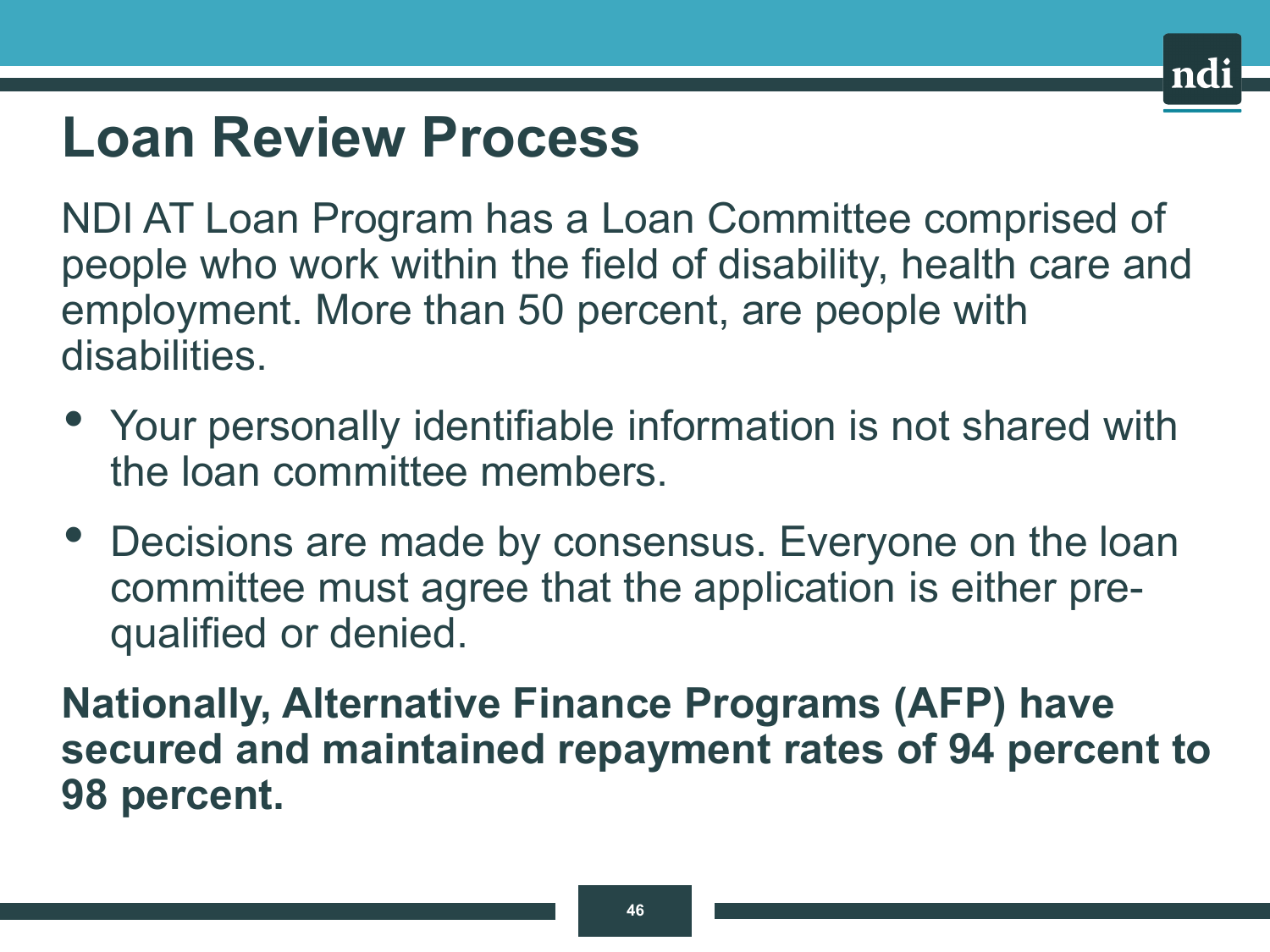### **Loan Review Process**

NDI AT Loan Program has a Loan Committee comprised of people who work within the field of disability, health care and employment. More than 50 percent, are people with disabilities.

- Your personally identifiable information is not shared with the loan committee members.
- Decisions are made by consensus. Everyone on the loan committee must agree that the application is either prequalified or denied.

**Nationally, Alternative Finance Programs (AFP) have secured and maintained repayment rates of 94 percent to 98 percent.**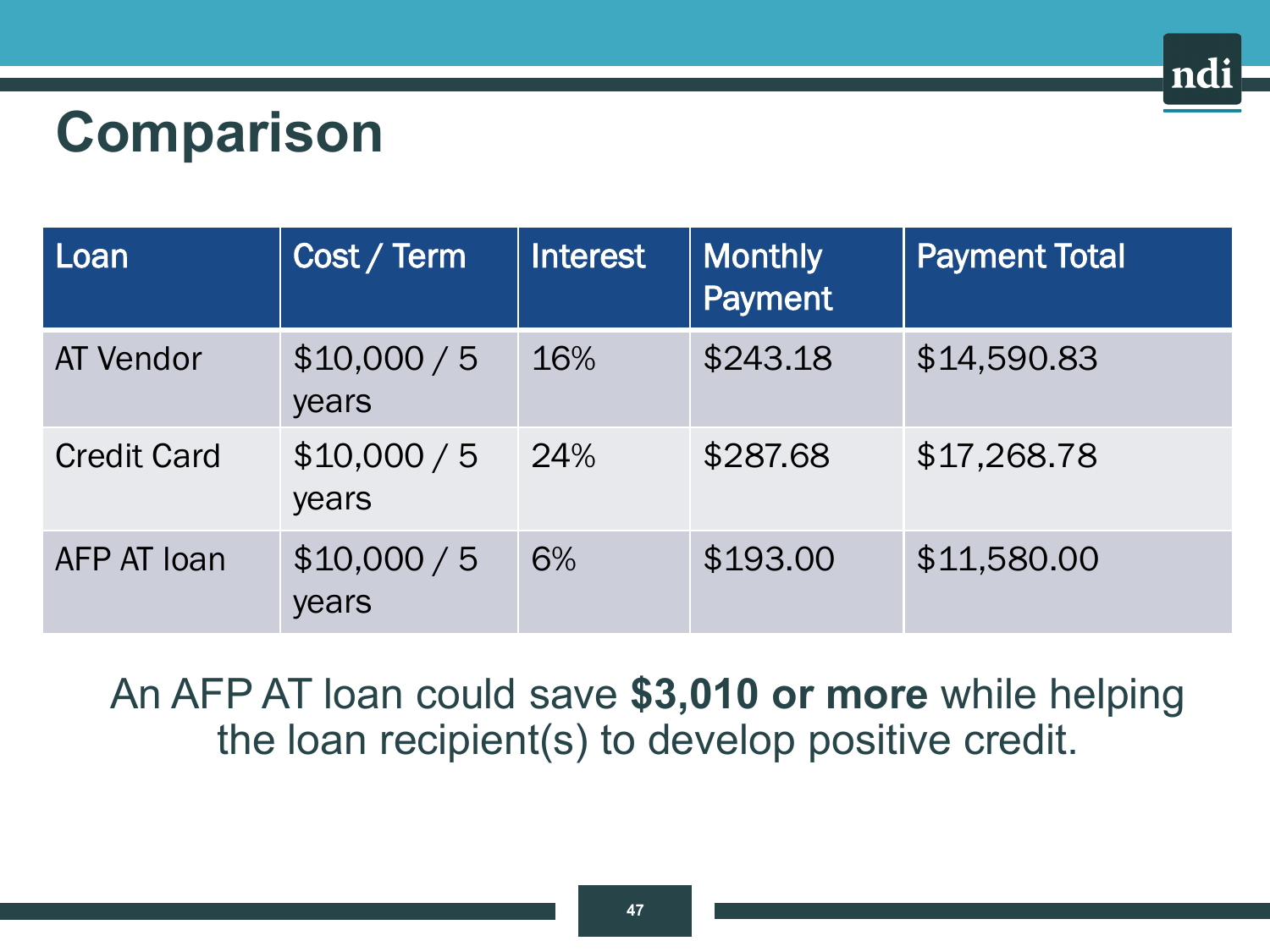# **Comparison**

| Loan               | Cost / Term           | Interest | Monthly<br><b>Payment</b> | <b>Payment Total</b> |
|--------------------|-----------------------|----------|---------------------------|----------------------|
| <b>AT Vendor</b>   | \$10,000 / 5<br>years | 16%      | \$243.18                  | \$14,590.83          |
| <b>Credit Card</b> | \$10,000 / 5<br>years | 24%      | \$287.68                  | \$17,268.78          |
| AFP AT Ioan        | \$10,000 / 5<br>years | 6%       | \$193.00                  | \$11,580.00          |

ndi

An AFP AT loan could save **\$3,010 or more** while helping the loan recipient(s) to develop positive credit.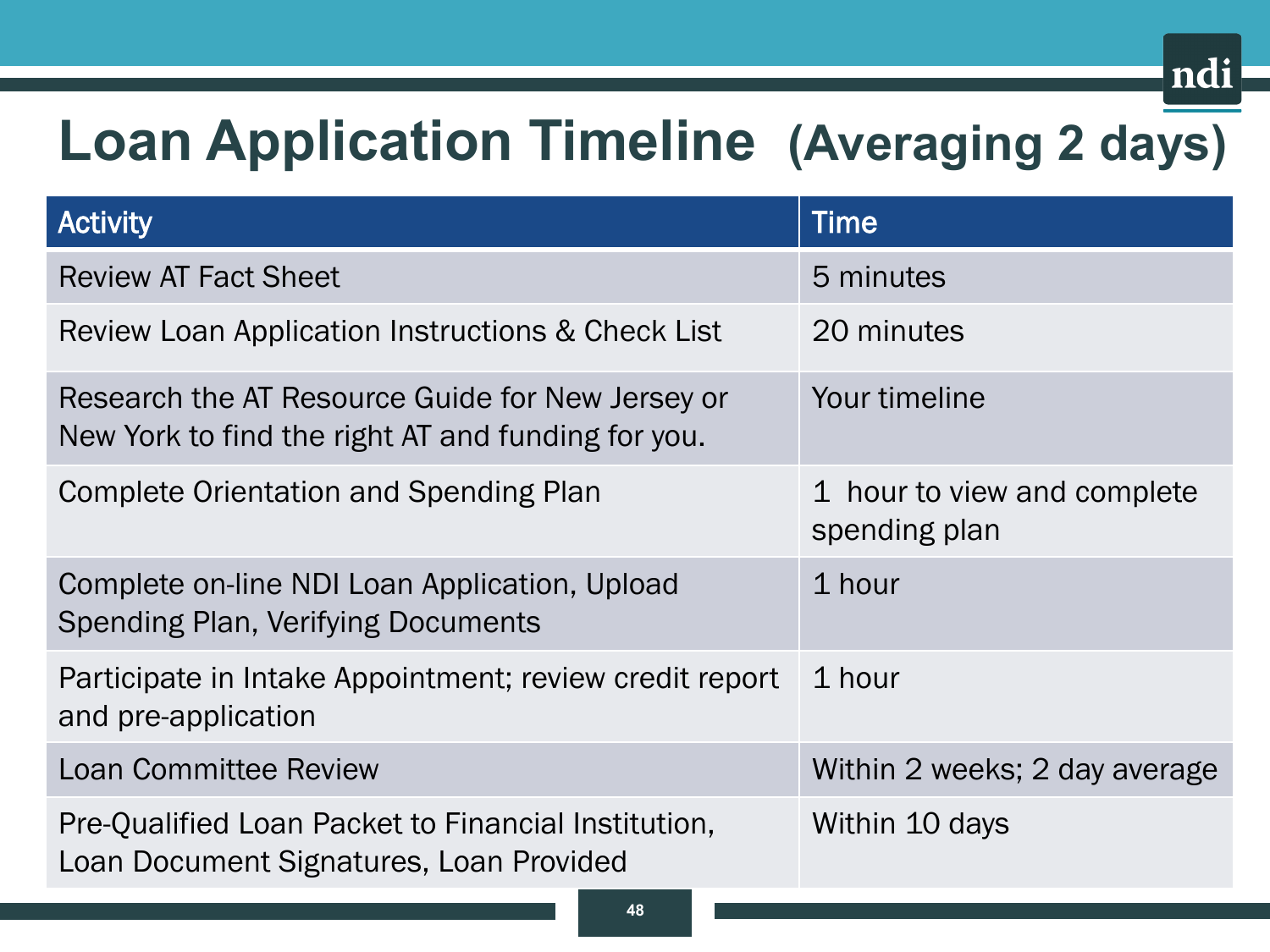# **Loan Application Timeline (Averaging 2 days)**

ndi

| <b>Activity</b>                                                                                        | <b>Time</b>                                  |  |
|--------------------------------------------------------------------------------------------------------|----------------------------------------------|--|
| <b>Review AT Fact Sheet</b>                                                                            | 5 minutes                                    |  |
| Review Loan Application Instructions & Check List                                                      | 20 minutes                                   |  |
| Research the AT Resource Guide for New Jersey or<br>New York to find the right AT and funding for you. | Your timeline                                |  |
| Complete Orientation and Spending Plan                                                                 | 1 hour to view and complete<br>spending plan |  |
| Complete on-line NDI Loan Application, Upload<br>Spending Plan, Verifying Documents                    | 1 hour                                       |  |
| Participate in Intake Appointment; review credit report<br>and pre-application                         | 1 hour                                       |  |
| <b>Loan Committee Review</b>                                                                           | Within 2 weeks; 2 day average                |  |
| Pre-Qualified Loan Packet to Financial Institution,<br>Loan Document Signatures, Loan Provided         | Within 10 days                               |  |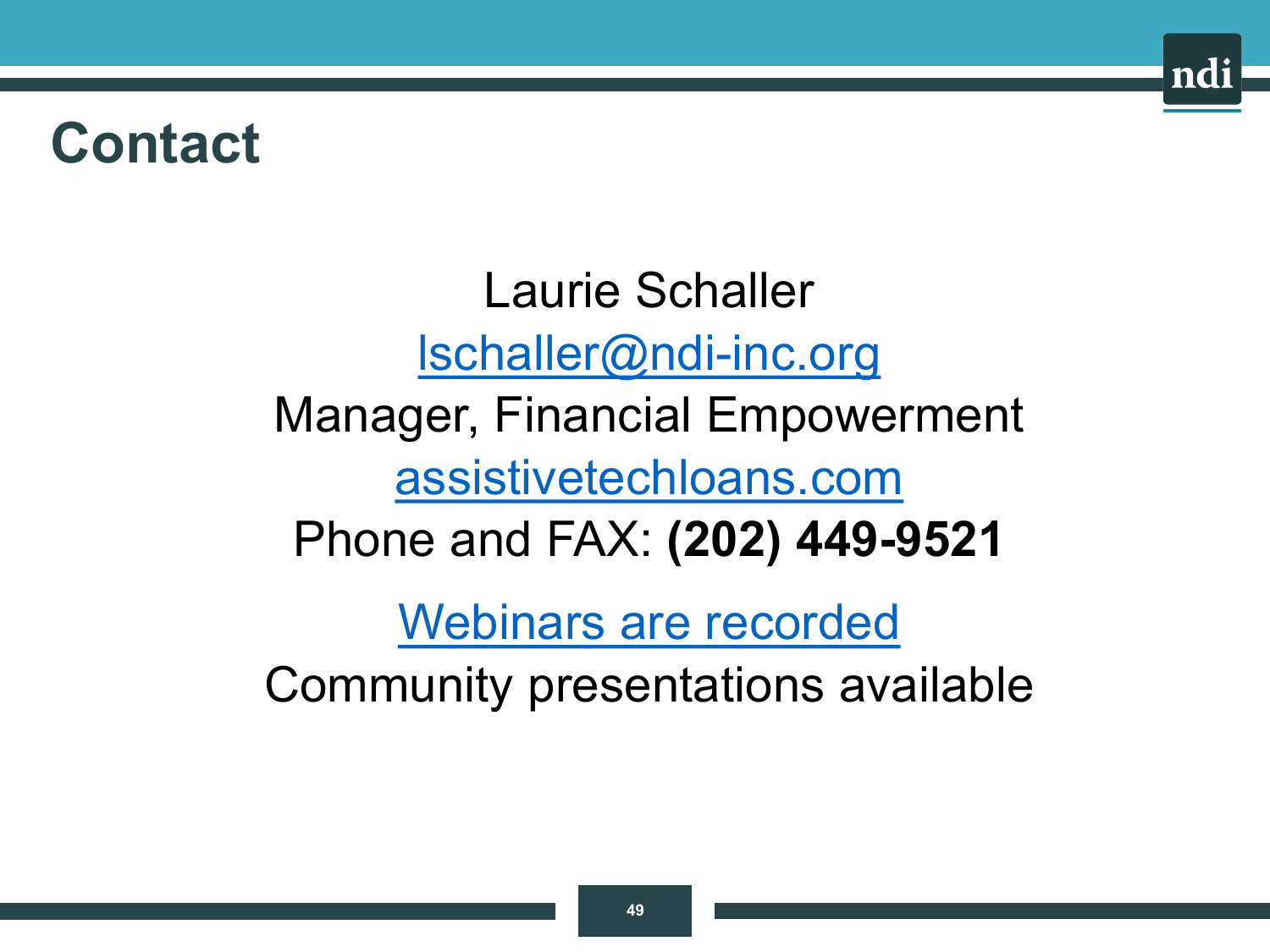### **Contact**

Laurie Schaller [lschaller@ndi-inc.org](mailto:lschaller@ndi-inc.org) Manager, Financial Empowerment [assistivetechloans.com](http://assistivetechloans.com/) Phone and FAX: **(202) 449-9521** Webinars are recorded

nd

Community presentations available